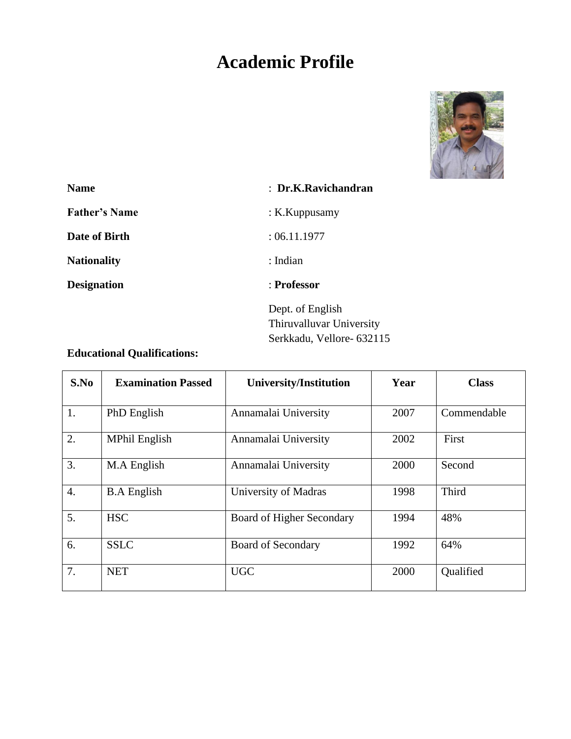# **Academic Profile**



| <b>Name</b>          | : Dr.K.Ravichandran       |
|----------------------|---------------------------|
| <b>Father's Name</b> | : $K.Kuppusamy$           |
| Date of Birth        | : 06.11.1977              |
| <b>Nationality</b>   | : Indian                  |
| <b>Designation</b>   | : Professor               |
|                      | Dept. of English          |
|                      | Thiruvalluvar University  |
|                      | Serkkadu, Vellore- 632115 |

# **Educational Qualifications:**

| S.No             | <b>Examination Passed</b> | <b>University/Institution</b>    | Year | <b>Class</b> |
|------------------|---------------------------|----------------------------------|------|--------------|
| 1.               | PhD English               | Annamalai University             | 2007 | Commendable  |
| 2.               | <b>MPhil English</b>      | Annamalai University             | 2002 | First        |
| 3.               | M.A English               | Annamalai University             | 2000 | Second       |
| $\overline{4}$ . | <b>B.A</b> English        | University of Madras             | 1998 | Third        |
| 5.               | <b>HSC</b>                | <b>Board of Higher Secondary</b> | 1994 | 48%          |
| 6.               | <b>SSLC</b>               | <b>Board of Secondary</b>        | 1992 | 64%          |
| 7.               | <b>NET</b>                | <b>UGC</b>                       | 2000 | Qualified    |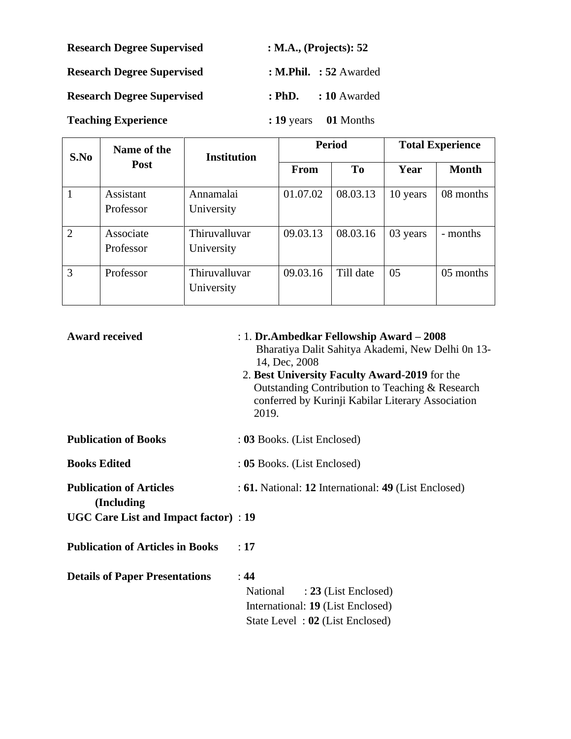| <b>Research Degree Supervised</b> | : M.A., (Projects): $52$ |                          |  |
|-----------------------------------|--------------------------|--------------------------|--|
| <b>Research Degree Supervised</b> |                          | : M.Phil. $: 52$ Awarded |  |
| <b>Research Degree Supervised</b> | $: PhD$ .                | : 10 Awarded             |  |

**Teaching Experience : 19** years **01** Months

| S.No           | Name of the<br><b>Post</b> | <b>Institution</b>          | <b>Period</b> |                | <b>Total Experience</b> |           |
|----------------|----------------------------|-----------------------------|---------------|----------------|-------------------------|-----------|
|                |                            |                             | <b>From</b>   | T <sub>o</sub> | Year                    | Month     |
| 1              | Assistant                  | Annamalai                   | 01.07.02      | 08.03.13       | 10 years                | 08 months |
|                | Professor                  | University                  |               |                |                         |           |
| $\overline{2}$ | Associate                  | Thiruvalluvar               | 09.03.13      | 08.03.16       | 03 years                | - months  |
|                | Professor                  | University                  |               |                |                         |           |
| 3              | Professor                  | Thiruvalluvar<br>University | 09.03.16      | Till date      | 05                      | 05 months |
|                |                            |                             |               |                |                         |           |

| <b>Award received</b>                         | : 1. Dr.Ambedkar Fellowship Award – 2008<br>Bharatiya Dalit Sahitya Akademi, New Delhi 0n 13-<br>14, Dec, 2008<br>2. Best University Faculty Award-2019 for the<br>Outstanding Contribution to Teaching & Research<br>conferred by Kurinji Kabilar Literary Association<br>2019. |
|-----------------------------------------------|----------------------------------------------------------------------------------------------------------------------------------------------------------------------------------------------------------------------------------------------------------------------------------|
| <b>Publication of Books</b>                   | : 03 Books. (List Enclosed)                                                                                                                                                                                                                                                      |
| <b>Books Edited</b>                           | : 05 Books. (List Enclosed)                                                                                                                                                                                                                                                      |
| <b>Publication of Articles</b><br>(Including) | : 61. National: 12 International: 49 (List Enclosed)                                                                                                                                                                                                                             |
| <b>UGC Care List and Impact factor</b> ) : 19 |                                                                                                                                                                                                                                                                                  |
| <b>Publication of Articles in Books</b>       | :17                                                                                                                                                                                                                                                                              |
| <b>Details of Paper Presentations</b>         | : 44<br>$: 23$ (List Enclosed)<br>National<br>International: 19 (List Enclosed)<br>State Level: 02 (List Enclosed)                                                                                                                                                               |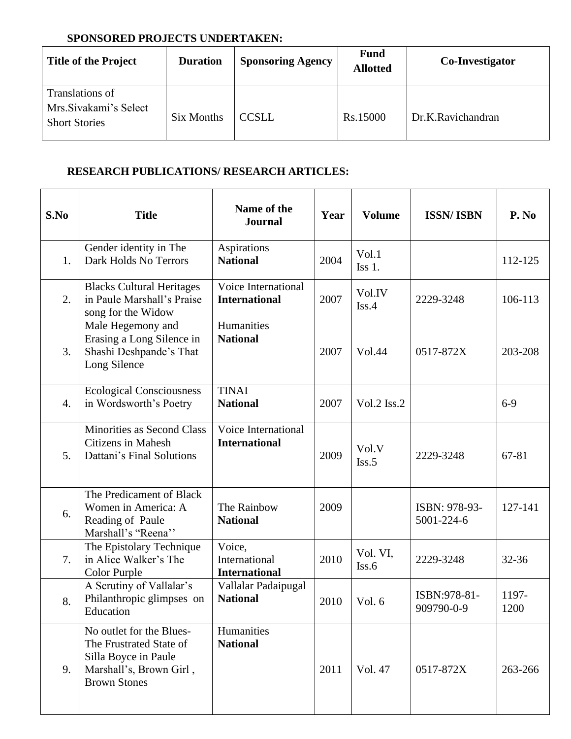## **SPONSORED PROJECTS UNDERTAKEN:**

| <b>Title of the Project</b>                                      | <b>Duration</b> | <b>Sponsoring Agency</b> | <b>Fund</b><br><b>Allotted</b> | Co-Investigator   |
|------------------------------------------------------------------|-----------------|--------------------------|--------------------------------|-------------------|
| Translations of<br>Mrs.Sivakami's Select<br><b>Short Stories</b> | Six Months      | <b>CCSLL</b>             | Rs.15000                       | Dr.K.Ravichandran |

## **RESEARCH PUBLICATIONS/ RESEARCH ARTICLES:**

| S.No | <b>Title</b>                                                                                                                  | Name of the<br><b>Journal</b>                   | Year | <b>Volume</b>     | <b>ISSN/ISBN</b>            | P. No         |
|------|-------------------------------------------------------------------------------------------------------------------------------|-------------------------------------------------|------|-------------------|-----------------------------|---------------|
| 1.   | Gender identity in The<br>Dark Holds No Terrors                                                                               | <b>Aspirations</b><br><b>National</b>           | 2004 | Vol.1<br>$Iss1$ . |                             | 112-125       |
| 2.   | <b>Blacks Cultural Heritages</b><br>in Paule Marshall's Praise<br>song for the Widow                                          | Voice International<br><b>International</b>     | 2007 | Vol.IV<br>Iss.4   | 2229-3248                   | 106-113       |
| 3.   | Male Hegemony and<br>Erasing a Long Silence in<br>Shashi Deshpande's That<br>Long Silence                                     | Humanities<br><b>National</b>                   | 2007 | Vol.44            | 0517-872X                   | 203-208       |
| 4.   | <b>Ecological Consciousness</b><br>in Wordsworth's Poetry                                                                     | <b>TINAI</b><br><b>National</b>                 | 2007 | Vol.2 Iss.2       |                             | $6-9$         |
| 5.   | Minorities as Second Class<br><b>Citizens in Mahesh</b><br>Dattani's Final Solutions                                          | Voice International<br><b>International</b>     | 2009 | Vol.V<br>Iss.5    | 2229-3248                   | 67-81         |
| 6.   | The Predicament of Black<br>Women in America: A<br>Reading of Paule<br>Marshall's "Reena"                                     | The Rainbow<br><b>National</b>                  | 2009 |                   | ISBN: 978-93-<br>5001-224-6 | 127-141       |
| 7.   | The Epistolary Technique<br>in Alice Walker's The<br>Color Purple                                                             | Voice,<br>International<br><b>International</b> | 2010 | Vol. VI,<br>Iss.6 | 2229-3248                   | 32-36         |
| 8.   | A Scrutiny of Vallalar's<br>Philanthropic glimpses on<br>Education                                                            | Vallalar Padaipugal<br><b>National</b>          | 2010 | Vol. 6            | ISBN:978-81-<br>909790-0-9  | 1197-<br>1200 |
| 9.   | No outlet for the Blues-<br>The Frustrated State of<br>Silla Boyce in Paule<br>Marshall's, Brown Girl,<br><b>Brown Stones</b> | Humanities<br><b>National</b>                   | 2011 | Vol. 47           | 0517-872X                   | 263-266       |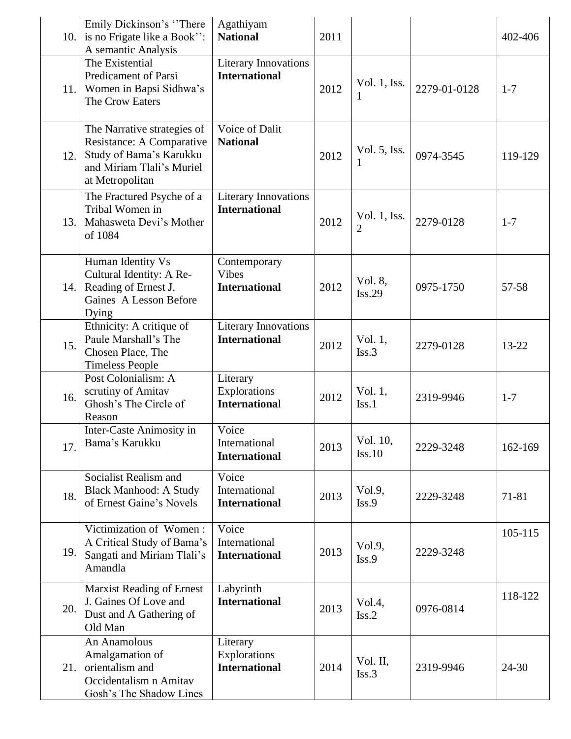| 10. | Emily Dickinson's "There"<br>is no Frigate like a Book":<br>A semantic Analysis                                                     | Agathiyam<br><b>National</b>                         | 2011 |                            |              | 402-406 |
|-----|-------------------------------------------------------------------------------------------------------------------------------------|------------------------------------------------------|------|----------------------------|--------------|---------|
| 11. | The Existential<br>Predicament of Parsi<br>Women in Bapsi Sidhwa's<br>The Crow Eaters                                               | <b>Literary Innovations</b><br><b>International</b>  | 2012 | Vol. 1, Iss.<br>1          | 2279-01-0128 | $1 - 7$ |
| 12. | The Narrative strategies of<br>Resistance: A Comparative<br>Study of Bama's Karukku<br>and Miriam Tlali's Muriel<br>at Metropolitan | Voice of Dalit<br><b>National</b>                    | 2012 | Vol. 5, Iss.<br>1          | 0974-3545    | 119-129 |
| 13. | The Fractured Psyche of a<br>Tribal Women in<br>Mahasweta Devi's Mother<br>of 1084                                                  | <b>Literary Innovations</b><br><b>International</b>  | 2012 | Vol. 1, Iss.<br>2          | 2279-0128    | $1 - 7$ |
| 14. | Human Identity Vs<br>Cultural Identity: A Re-<br>Reading of Ernest J.<br>Gaines A Lesson Before<br>Dying                            | Contemporary<br><b>Vibes</b><br><b>International</b> | 2012 | Vol. 8,<br>Iss.29          | 0975-1750    | 57-58   |
| 15. | Ethnicity: A critique of<br>Paule Marshall's The<br>Chosen Place, The<br><b>Timeless People</b>                                     | <b>Literary Innovations</b><br><b>International</b>  | 2012 | Vol. 1,<br>Iss.3           | 2279-0128    | 13-22   |
| 16. | Post Colonialism: A<br>scrutiny of Amitav<br>Ghosh's The Circle of<br>Reason                                                        | Literary<br>Explorations<br><b>International</b>     | 2012 | Vol. 1,<br>Iss.1           | 2319-9946    | $1 - 7$ |
| 17. | Inter-Caste Animosity in<br>Bama's Karukku                                                                                          | Voice<br>International<br><b>International</b>       | 2013 | Vol. 10,<br>Iss.10         | 2229-3248    | 162-169 |
| 18. | Socialist Realism and<br><b>Black Manhood: A Study</b><br>of Ernest Gaine's Novels                                                  | Voice<br>International<br><b>International</b>       | 2013 | Vol.9,<br>Iss.9            | 2229-3248    | 71-81   |
| 19. | Victimization of Women:<br>A Critical Study of Bama's<br>Sangati and Miriam Tlali's<br>Amandla                                      | Voice<br>International<br><b>International</b>       | 2013 | Vol.9,<br>Iss.9            | 2229-3248    | 105-115 |
| 20. | <b>Marxist Reading of Ernest</b><br>J. Gaines Of Love and<br>Dust and A Gathering of<br>Old Man                                     | Labyrinth<br><b>International</b>                    | 2013 | Vol.4,<br>Iss.2            | 0976-0814    | 118-122 |
| 21. | An Anamolous<br>Amalgamation of<br>orientalism and<br>Occidentalism n Amitav<br>Gosh's The Shadow Lines                             | Literary<br>Explorations<br><b>International</b>     | 2014 | Vol. II,<br>$\text{Iss.3}$ | 2319-9946    | 24-30   |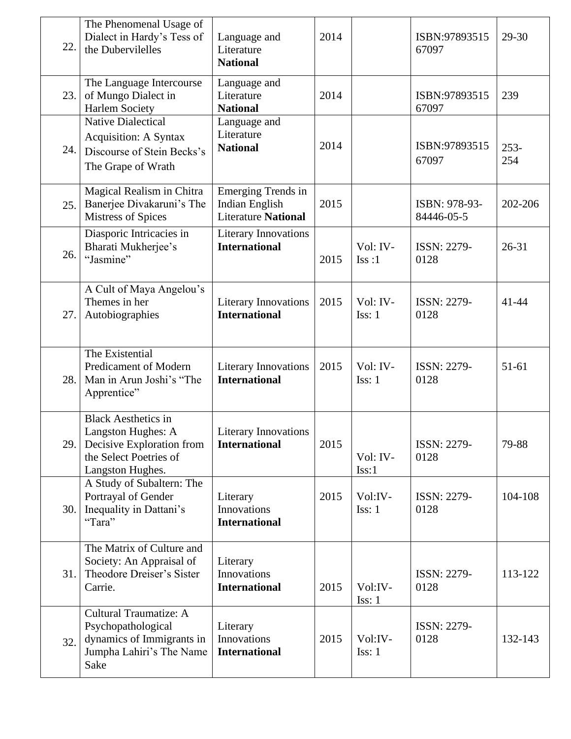| 22. | The Phenomenal Usage of<br>Dialect in Hardy's Tess of<br>the Dubervilelles                                                  | Language and<br>Literature<br><b>National</b>                             | 2014 |                    | ISBN:97893515<br>67097      | 29-30         |
|-----|-----------------------------------------------------------------------------------------------------------------------------|---------------------------------------------------------------------------|------|--------------------|-----------------------------|---------------|
| 23. | The Language Intercourse<br>of Mungo Dialect in<br><b>Harlem Society</b>                                                    | Language and<br>Literature<br><b>National</b>                             | 2014 |                    | ISBN:97893515<br>67097      | 239           |
| 24. | <b>Native Dialectical</b><br><b>Acquisition: A Syntax</b><br>Discourse of Stein Becks's<br>The Grape of Wrath               | Language and<br>Literature<br><b>National</b>                             | 2014 |                    | ISBN:97893515<br>67097      | $253-$<br>254 |
| 25. | Magical Realism in Chitra<br>Banerjee Divakaruni's The<br><b>Mistress of Spices</b>                                         | <b>Emerging Trends in</b><br>Indian English<br><b>Literature National</b> | 2015 |                    | ISBN: 978-93-<br>84446-05-5 | 202-206       |
| 26. | Diasporic Intricacies in<br>Bharati Mukherjee's<br>"Jasmine"                                                                | <b>Literary Innovations</b><br><b>International</b>                       | 2015 | Vol: IV-<br>Iss:1  | <b>ISSN: 2279-</b><br>0128  | $26 - 31$     |
| 27. | A Cult of Maya Angelou's<br>Themes in her<br>Autobiographies                                                                | <b>Literary Innovations</b><br><b>International</b>                       | 2015 | Vol: IV-<br>Iss: 1 | ISSN: 2279-<br>0128         | $41 - 44$     |
| 28. | The Existential<br>Predicament of Modern<br>Man in Arun Joshi's "The<br>Apprentice"                                         | <b>Literary Innovations</b><br><b>International</b>                       | 2015 | Vol: IV-<br>Iss: 1 | ISSN: 2279-<br>0128         | 51-61         |
| 29. | <b>Black Aesthetics in</b><br>Langston Hughes: A<br>Decisive Exploration from<br>the Select Poetries of<br>Langston Hughes. | <b>Literary Innovations</b><br><b>International</b>                       | 2015 | Vol: IV-<br>Iss:1  | <b>ISSN: 2279-</b><br>0128  | 79-88         |
| 30. | A Study of Subaltern: The<br>Portrayal of Gender<br>Inequality in Dattani's<br>"Tara"                                       | Literary<br>Innovations<br><b>International</b>                           | 2015 | Vol:IV-<br>Iss: 1  | <b>ISSN: 2279-</b><br>0128  | 104-108       |
| 31. | The Matrix of Culture and<br>Society: An Appraisal of<br>Theodore Dreiser's Sister<br>Carrie.                               | Literary<br>Innovations<br><b>International</b>                           | 2015 | Vol:IV-<br>Iss: 1  | ISSN: 2279-<br>0128         | 113-122       |
| 32. | Cultural Traumatize: A<br>Psychopathological<br>dynamics of Immigrants in<br>Jumpha Lahiri's The Name<br>Sake               | Literary<br>Innovations<br><b>International</b>                           | 2015 | Vol:IV-<br>Iss: 1  | <b>ISSN: 2279-</b><br>0128  | 132-143       |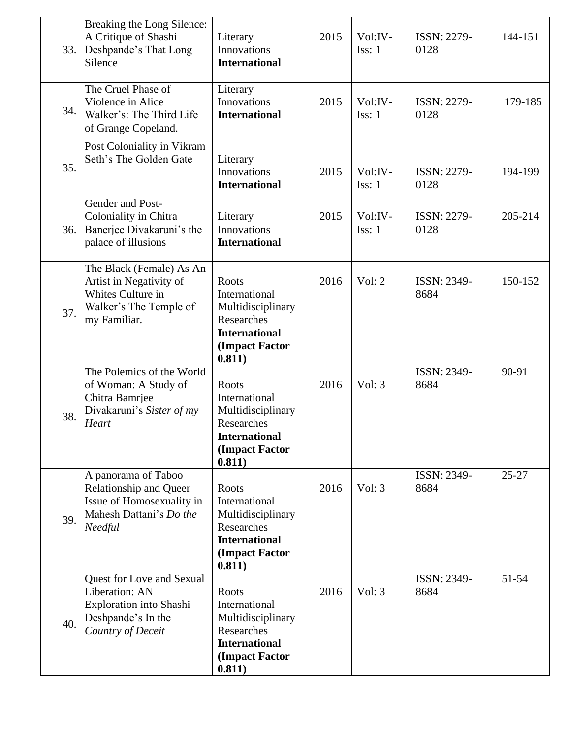| 33. | Breaking the Long Silence:<br>A Critique of Shashi<br>Deshpande's That Long<br>Silence                                  | Literary<br>Innovations<br><b>International</b>                                                                      | 2015 | Vol:IV-<br>Iss: 1 | <b>ISSN: 2279-</b><br>0128 | 144-151   |
|-----|-------------------------------------------------------------------------------------------------------------------------|----------------------------------------------------------------------------------------------------------------------|------|-------------------|----------------------------|-----------|
| 34. | The Cruel Phase of<br>Violence in Alice<br>Walker's: The Third Life<br>of Grange Copeland.                              | Literary<br>Innovations<br><b>International</b>                                                                      | 2015 | Vol:IV-<br>Iss: 1 | ISSN: 2279-<br>0128        | 179-185   |
| 35. | Post Coloniality in Vikram<br>Seth's The Golden Gate                                                                    | Literary<br>Innovations<br><b>International</b>                                                                      | 2015 | Vol:IV-<br>Iss: 1 | ISSN: 2279-<br>0128        | 194-199   |
| 36. | Gender and Post-<br>Coloniality in Chitra<br>Banerjee Divakaruni's the<br>palace of illusions                           | Literary<br>Innovations<br><b>International</b>                                                                      | 2015 | Vol:IV-<br>Iss: 1 | ISSN: 2279-<br>0128        | 205-214   |
| 37. | The Black (Female) As An<br>Artist in Negativity of<br>Whites Culture in<br>Walker's The Temple of<br>my Familiar.      | <b>Roots</b><br>International<br>Multidisciplinary<br>Researches<br><b>International</b><br>(Impact Factor<br>0.811) | 2016 | Vol: 2            | <b>ISSN: 2349-</b><br>8684 | 150-152   |
| 38. | The Polemics of the World<br>of Woman: A Study of<br>Chitra Bamrjee<br>Divakaruni's Sister of my<br>Heart               | Roots<br>International<br>Multidisciplinary<br>Researches<br><b>International</b><br>(Impact Factor<br>0.811)        | 2016 | Vol: 3            | ISSN: 2349-<br>8684        | 90-91     |
| 39. | A panorama of Taboo<br><b>Relationship and Queer</b><br>Issue of Homosexuality in<br>Mahesh Dattani's Do the<br>Needful | <b>Roots</b><br>International<br>Multidisciplinary<br>Researches<br><b>International</b><br>(Impact Factor<br>0.811) | 2016 | Vol: 3            | ISSN: 2349-<br>8684        | $25 - 27$ |
| 40. | Quest for Love and Sexual<br>Liberation: AN<br>Exploration into Shashi<br>Deshpande's In the<br>Country of Deceit       | Roots<br>International<br>Multidisciplinary<br>Researches<br><b>International</b><br>(Impact Factor<br>0.811)        | 2016 | Vol: 3            | ISSN: 2349-<br>8684        | 51-54     |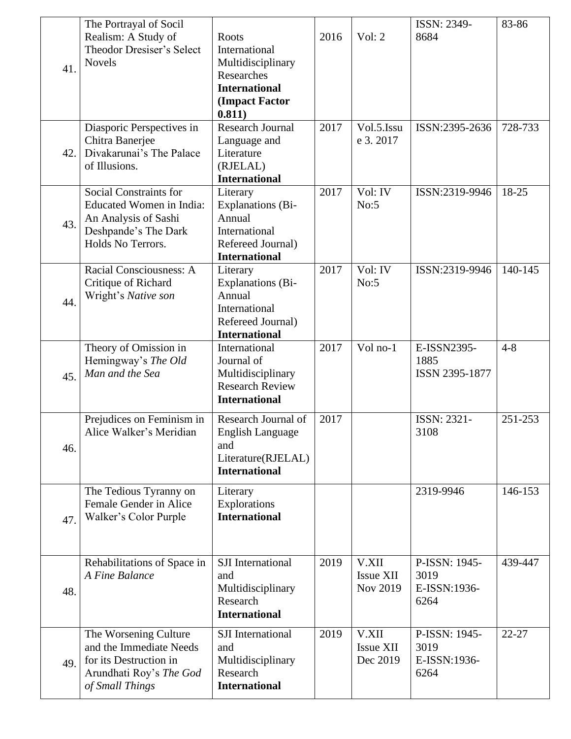| 41. | The Portrayal of Socil<br>Realism: A Study of<br>Theodor Dresiser's Select<br><b>Novels</b>                                    | Roots<br>International<br>Multidisciplinary<br>Researches<br><b>International</b><br>(Impact Factor<br>0.811) | 2016 | Vol: $2$                              | ISSN: 2349-<br>8684                           | 83-86     |
|-----|--------------------------------------------------------------------------------------------------------------------------------|---------------------------------------------------------------------------------------------------------------|------|---------------------------------------|-----------------------------------------------|-----------|
| 42. | Diasporic Perspectives in<br>Chitra Banerjee<br>Divakarunai's The Palace<br>of Illusions.                                      | <b>Research Journal</b><br>Language and<br>Literature<br>(RJELAL)<br><b>International</b>                     | 2017 | Vol.5.Issu<br>e 3.2017                | ISSN:2395-2636                                | 728-733   |
| 43. | Social Constraints for<br><b>Educated Women in India:</b><br>An Analysis of Sashi<br>Deshpande's The Dark<br>Holds No Terrors. | Literary<br><b>Explanations (Bi-</b><br>Annual<br>International<br>Refereed Journal)<br><b>International</b>  | 2017 | Vol: IV<br>No:5                       | ISSN:2319-9946                                | 18-25     |
| 44. | Racial Consciousness: A<br>Critique of Richard<br>Wright's Native son                                                          | Literary<br><b>Explanations</b> (Bi-<br>Annual<br>International<br>Refereed Journal)<br><b>International</b>  | 2017 | Vol: IV<br>No:5                       | ISSN:2319-9946                                | 140-145   |
| 45. | Theory of Omission in<br>Hemingway's The Old<br>Man and the Sea                                                                | International<br>Journal of<br>Multidisciplinary<br><b>Research Review</b><br><b>International</b>            | 2017 | Vol no-1                              | E-ISSN2395-<br>1885<br>ISSN 2395-1877         | $4 - 8$   |
| 46. | Prejudices on Feminism in<br>Alice Walker's Meridian                                                                           | Research Journal of<br>English Language<br>and<br>Literature(RJELAL)<br><b>International</b>                  | 2017 |                                       | ISSN: 2321-<br>3108                           | 251-253   |
| 47. | The Tedious Tyranny on<br>Female Gender in Alice<br>Walker's Color Purple                                                      | Literary<br>Explorations<br><b>International</b>                                                              |      |                                       | 2319-9946                                     | 146-153   |
| 48. | Rehabilitations of Space in<br>A Fine Balance                                                                                  | <b>SJI</b> International<br>and<br>Multidisciplinary<br>Research<br><b>International</b>                      | 2019 | V.XII<br><b>Issue XII</b><br>Nov 2019 | P-ISSN: 1945-<br>3019<br>E-ISSN:1936-<br>6264 | 439-447   |
| 49. | The Worsening Culture<br>and the Immediate Needs<br>for its Destruction in<br>Arundhati Roy's The God<br>of Small Things       | <b>SJI</b> International<br>and<br>Multidisciplinary<br>Research<br><b>International</b>                      | 2019 | V.XII<br><b>Issue XII</b><br>Dec 2019 | P-ISSN: 1945-<br>3019<br>E-ISSN:1936-<br>6264 | $22 - 27$ |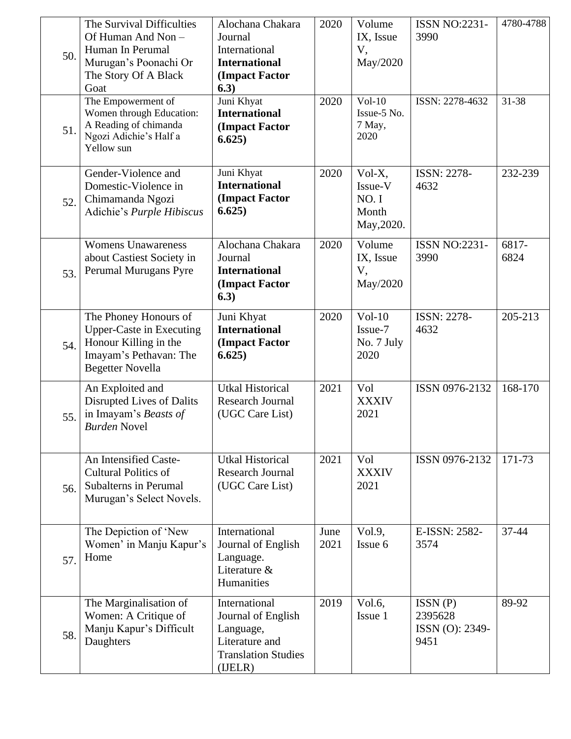| 50. | The Survival Difficulties<br>Of Human And Non -<br>Human In Perumal<br>Murugan's Poonachi Or<br>The Story Of A Black<br>Goat           | Alochana Chakara<br>Journal<br>International<br><b>International</b><br>(Impact Factor<br>6.3)             | 2020         | Volume<br>IX, Issue<br>V,<br>May/2020            | <b>ISSN NO:2231-</b><br>3990                  | 4780-4788     |
|-----|----------------------------------------------------------------------------------------------------------------------------------------|------------------------------------------------------------------------------------------------------------|--------------|--------------------------------------------------|-----------------------------------------------|---------------|
| 51. | The Empowerment of<br>Women through Education:<br>A Reading of chimanda<br>Ngozi Adichie's Half a<br>Yellow sun                        | Juni Khyat<br><b>International</b><br>(Impact Factor<br>6.625)                                             | 2020         | $Vol-10$<br>Issue-5 No.<br>7 May,<br>2020        | ISSN: 2278-4632                               | 31-38         |
| 52. | Gender-Violence and<br>Domestic-Violence in<br>Chimamanda Ngozi<br>Adichie's Purple Hibiscus                                           | Juni Khyat<br><b>International</b><br>(Impact Factor<br>6.625)                                             | 2020         | Vol-X,<br>Issue-V<br>NO.I<br>Month<br>May, 2020. | ISSN: 2278-<br>4632                           | 232-239       |
| 53. | <b>Womens Unawareness</b><br>about Castiest Society in<br>Perumal Murugans Pyre                                                        | Alochana Chakara<br>Journal<br><b>International</b><br>(Impact Factor<br>6.3)                              | 2020         | Volume<br>IX, Issue<br>V,<br>May/2020            | <b>ISSN NO:2231-</b><br>3990                  | 6817-<br>6824 |
| 54. | The Phoney Honours of<br><b>Upper-Caste in Executing</b><br>Honour Killing in the<br>Imayam's Pethavan: The<br><b>Begetter Novella</b> | Juni Khyat<br><b>International</b><br>(Impact Factor<br>6.625)                                             | 2020         | $Vol-10$<br>Issue-7<br>No. 7 July<br>2020        | <b>ISSN: 2278-</b><br>4632                    | 205-213       |
| 55. | An Exploited and<br>Disrupted Lives of Dalits<br>in Imayam's Beasts of<br><b>Burden Novel</b>                                          | <b>Utkal Historical</b><br><b>Research Journal</b><br>(UGC Care List)                                      | 2021         | Vol<br><b>XXXIV</b><br>2021                      | ISSN 0976-2132                                | 168-170       |
| 56. | An Intensified Caste-<br><b>Cultural Politics of</b><br>Subalterns in Perumal<br>Murugan's Select Novels.                              | <b>Utkal Historical</b><br><b>Research Journal</b><br>(UGC Care List)                                      | 2021         | Vol<br><b>XXXIV</b><br>2021                      | ISSN 0976-2132                                | 171-73        |
| 57. | The Depiction of 'New<br>Women' in Manju Kapur's<br>Home                                                                               | International<br>Journal of English<br>Language.<br>Literature &<br>Humanities                             | June<br>2021 | Vol.9,<br>Issue 6                                | E-ISSN: 2582-<br>3574                         | 37-44         |
| 58. | The Marginalisation of<br>Women: A Critique of<br>Manju Kapur's Difficult<br>Daughters                                                 | International<br>Journal of English<br>Language,<br>Literature and<br><b>Translation Studies</b><br>(IEEE) | 2019         | Vol.6,<br>Issue 1                                | ISSN(P)<br>2395628<br>ISSN (O): 2349-<br>9451 | 89-92         |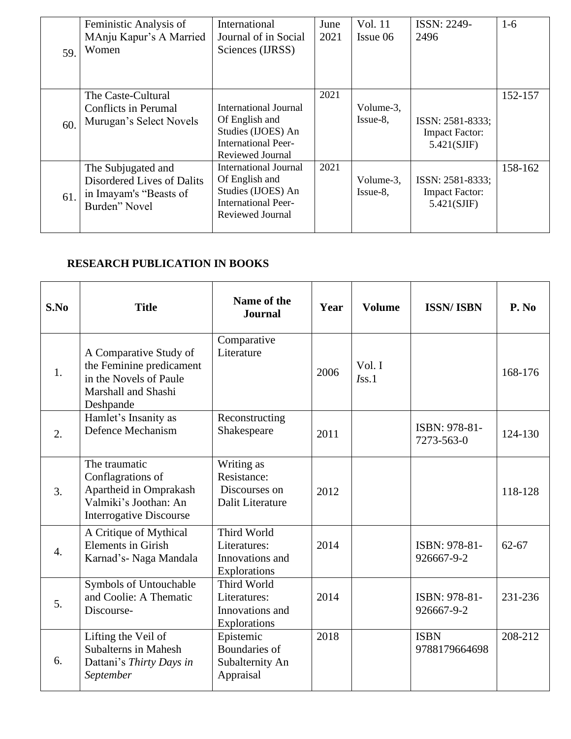| 59. | Feministic Analysis of<br>MAnju Kapur's A Married<br>Women                                  | International<br>Journal of in Social<br>Sciences (IJRSS)                                                       | June<br>2021 | Vol. 11<br>Issue 06      | <b>ISSN: 2249-</b><br>2496                               | 1-6     |
|-----|---------------------------------------------------------------------------------------------|-----------------------------------------------------------------------------------------------------------------|--------------|--------------------------|----------------------------------------------------------|---------|
| 60. | The Caste-Cultural<br><b>Conflicts in Perumal</b><br>Murugan's Select Novels                | International Journal<br>Of English and<br>Studies (IJOES) An<br><b>International Peer-</b><br>Reviewed Journal | 2021         | Volume-3,<br>$Issue-8$ , | ISSN: 2581-8333;<br><b>Impact Factor:</b><br>5.421(SJIF) | 152-157 |
| 61. | The Subjugated and<br>Disordered Lives of Dalits<br>in Imayam's "Beasts of<br>Burden" Novel | International Journal<br>Of English and<br>Studies (IJOES) An<br><b>International Peer-</b><br>Reviewed Journal | 2021         | Volume-3,<br>$I$ ssue-8, | ISSN: 2581-8333;<br><b>Impact Factor:</b><br>5.421(SJIF) | 158-162 |

# **RESEARCH PUBLICATION IN BOOKS**

| S.No             | <b>Title</b>                                                                                                            | Name of the<br><b>Journal</b>                                  | Year | <b>Volume</b>      | <b>ISSN/ISBN</b>             | P. No     |
|------------------|-------------------------------------------------------------------------------------------------------------------------|----------------------------------------------------------------|------|--------------------|------------------------------|-----------|
| 1.               | A Comparative Study of<br>the Feminine predicament<br>in the Novels of Paule<br>Marshall and Shashi<br>Deshpande        | Comparative<br>Literature                                      | 2006 | Vol. I<br>$I$ ss.1 |                              | 168-176   |
| 2.               | Hamlet's Insanity as<br><b>Defence Mechanism</b>                                                                        | Reconstructing<br>Shakespeare                                  | 2011 |                    | ISBN: 978-81-<br>7273-563-0  | 124-130   |
| 3.               | The traumatic<br>Conflagrations of<br>Apartheid in Omprakash<br>Valmiki's Joothan: An<br><b>Interrogative Discourse</b> | Writing as<br>Resistance:<br>Discourses on<br>Dalit Literature | 2012 |                    |                              | 118-128   |
| $\overline{4}$ . | A Critique of Mythical<br><b>Elements in Girish</b><br>Karnad's- Naga Mandala                                           | Third World<br>Literatures:<br>Innovations and<br>Explorations | 2014 |                    | ISBN: 978-81-<br>926667-9-2  | $62 - 67$ |
| 5.               | Symbols of Untouchable<br>and Coolie: A Thematic<br>Discourse-                                                          | Third World<br>Literatures:<br>Innovations and<br>Explorations | 2014 |                    | ISBN: 978-81-<br>926667-9-2  | 231-236   |
| 6.               | Lifting the Veil of<br><b>Subalterns in Mahesh</b><br>Dattani's Thirty Days in<br>September                             | Epistemic<br>Boundaries of<br>Subalternity An<br>Appraisal     | 2018 |                    | <b>ISBN</b><br>9788179664698 | 208-212   |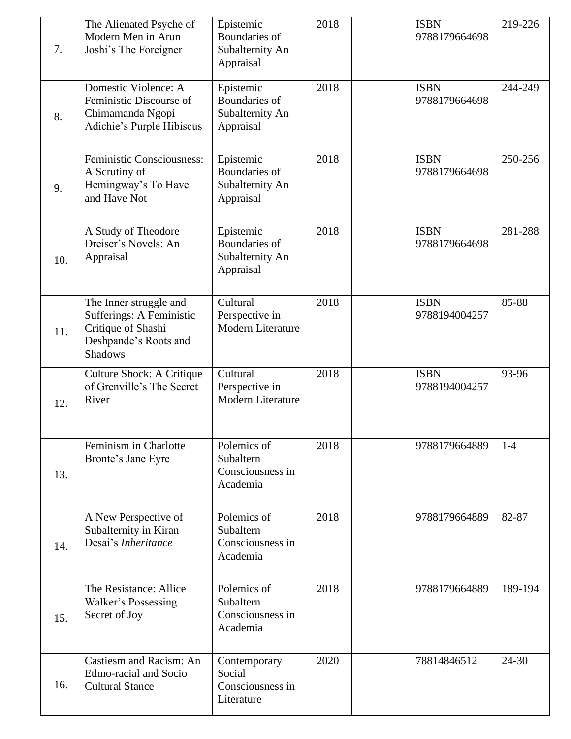| 7.  | The Alienated Psyche of<br>Modern Men in Arun<br>Joshi's The Foreigner                                              | Epistemic<br><b>Boundaries of</b><br>Subalternity An<br>Appraisal | 2018 | <b>ISBN</b><br>9788179664698 | 219-226   |
|-----|---------------------------------------------------------------------------------------------------------------------|-------------------------------------------------------------------|------|------------------------------|-----------|
| 8.  | Domestic Violence: A<br>Feministic Discourse of<br>Chimamanda Ngopi<br>Adichie's Purple Hibiscus                    | Epistemic<br>Boundaries of<br>Subalternity An<br>Appraisal        | 2018 | <b>ISBN</b><br>9788179664698 | 244-249   |
| 9.  | Feministic Consciousness:<br>A Scrutiny of<br>Hemingway's To Have<br>and Have Not                                   | Epistemic<br>Boundaries of<br>Subalternity An<br>Appraisal        | 2018 | <b>ISBN</b><br>9788179664698 | 250-256   |
| 10. | A Study of Theodore<br>Dreiser's Novels: An<br>Appraisal                                                            | Epistemic<br><b>Boundaries of</b><br>Subalternity An<br>Appraisal | 2018 | <b>ISBN</b><br>9788179664698 | 281-288   |
| 11. | The Inner struggle and<br>Sufferings: A Feministic<br>Critique of Shashi<br>Deshpande's Roots and<br><b>Shadows</b> | Cultural<br>Perspective in<br><b>Modern Literature</b>            | 2018 | <b>ISBN</b><br>9788194004257 | 85-88     |
| 12. | <b>Culture Shock: A Critique</b><br>of Grenville's The Secret<br>River                                              | Cultural<br>Perspective in<br><b>Modern Literature</b>            | 2018 | <b>ISBN</b><br>9788194004257 | 93-96     |
| 13. | Feminism in Charlotte<br>Bronte's Jane Eyre                                                                         | Polemics of<br>Subaltern<br>Consciousness in<br>Academia          | 2018 | 9788179664889                | $1 - 4$   |
| 14. | A New Perspective of<br>Subalternity in Kiran<br>Desai's Inheritance                                                | Polemics of<br>Subaltern<br>Consciousness in<br>Academia          | 2018 | 9788179664889                | 82-87     |
| 15. | The Resistance: Allice<br>Walker's Possessing<br>Secret of Joy                                                      | Polemics of<br>Subaltern<br>Consciousness in<br>Academia          | 2018 | 9788179664889                | 189-194   |
| 16. | Castiesm and Racism: An<br>Ethno-racial and Socio<br><b>Cultural Stance</b>                                         | Contemporary<br>Social<br>Consciousness in<br>Literature          | 2020 | 78814846512                  | $24 - 30$ |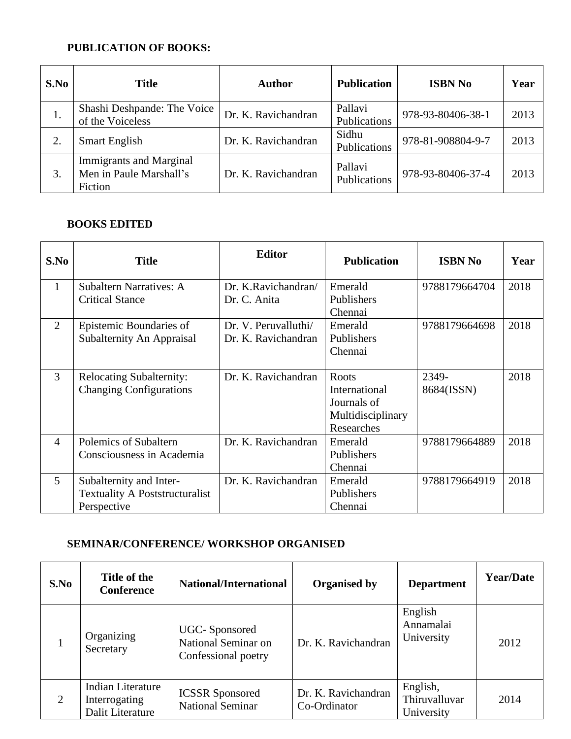# **PUBLICATION OF BOOKS:**

| S.No | <b>Title</b>                                                         | <b>Author</b>       | <b>Publication</b>      | <b>ISBN No</b>    | Year |
|------|----------------------------------------------------------------------|---------------------|-------------------------|-------------------|------|
| 1.   | Shashi Deshpande: The Voice<br>of the Voiceless                      | Dr. K. Ravichandran | Pallavi<br>Publications | 978-93-80406-38-1 | 2013 |
| 2.   | <b>Smart English</b>                                                 | Dr. K. Ravichandran | Sidhu<br>Publications   | 978-81-908804-9-7 | 2013 |
| 3.   | <b>Immigrants and Marginal</b><br>Men in Paule Marshall's<br>Fiction | Dr. K. Ravichandran | Pallavi<br>Publications | 978-93-80406-37-4 | 2013 |

#### **BOOKS EDITED**

| S.No           | <b>Title</b>                                                      | <b>Editor</b>                       | <b>Publication</b>                                                       | <b>ISBN No</b>      | Year |
|----------------|-------------------------------------------------------------------|-------------------------------------|--------------------------------------------------------------------------|---------------------|------|
| $\mathbf{1}$   | <b>Subaltern Narratives: A</b><br><b>Critical Stance</b>          | Dr. K.Ravichandran/<br>Dr. C. Anita | Emerald<br>Publishers                                                    | 9788179664704       | 2018 |
|                |                                                                   |                                     | Chennai                                                                  |                     |      |
| 2              | Epistemic Boundaries of                                           | Dr. V. Peruvalluthi/                | Emerald                                                                  | 9788179664698       | 2018 |
|                | Subalternity An Appraisal                                         | Dr. K. Ravichandran                 | Publishers                                                               |                     |      |
|                |                                                                   |                                     | Chennai                                                                  |                     |      |
| 3              | <b>Relocating Subalternity:</b><br><b>Changing Configurations</b> | Dr. K. Ravichandran                 | Roots<br>International<br>Journals of<br>Multidisciplinary<br>Researches | 2349-<br>8684(ISSN) | 2018 |
| $\overline{4}$ | Polemics of Subaltern<br>Consciousness in Academia                | Dr. K. Ravichandran                 | Emerald<br>Publishers                                                    | 9788179664889       | 2018 |
|                |                                                                   |                                     | Chennai                                                                  |                     |      |
| $\mathfrak{S}$ | Subalternity and Inter-                                           | Dr. K. Ravichandran                 | Emerald                                                                  | 9788179664919       | 2018 |
|                | <b>Textuality A Poststructuralist</b>                             |                                     | Publishers                                                               |                     |      |
|                | Perspective                                                       |                                     | Chennai                                                                  |                     |      |

## **SEMINAR/CONFERENCE/ WORKSHOP ORGANISED**

| S.No | Title of the<br><b>Conference</b>                             | <b>National/International</b>                               | <b>Organised by</b>                 | <b>Department</b>                       | <b>Year/Date</b> |
|------|---------------------------------------------------------------|-------------------------------------------------------------|-------------------------------------|-----------------------------------------|------------------|
|      | Organizing<br>Secretary                                       | UGC-Sponsored<br>National Seminar on<br>Confessional poetry | Dr. K. Ravichandran                 | English<br>Annamalai<br>University      | 2012             |
| 2    | <b>Indian Literature</b><br>Interrogating<br>Dalit Literature | <b>ICSSR</b> Sponsored<br><b>National Seminar</b>           | Dr. K. Ravichandran<br>Co-Ordinator | English,<br>Thiruvalluvar<br>University | 2014             |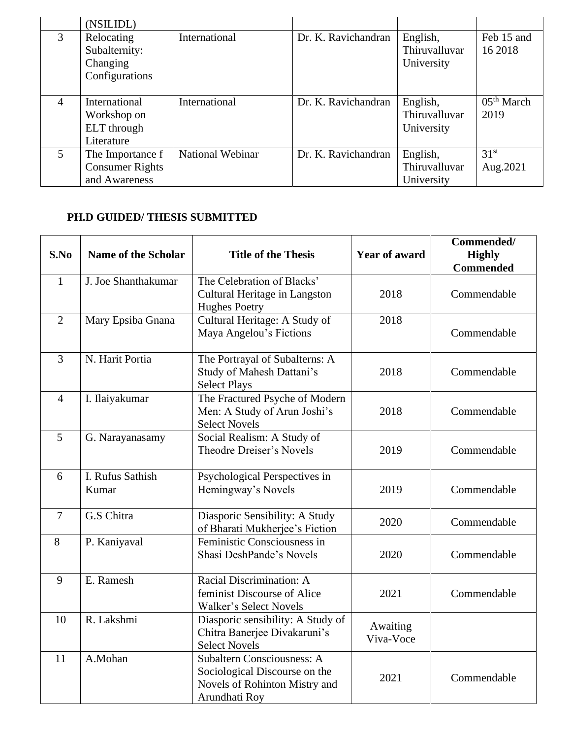|                | (NSILIDL)                                                   |                         |                     |                                         |                                |
|----------------|-------------------------------------------------------------|-------------------------|---------------------|-----------------------------------------|--------------------------------|
| 3              | Relocating<br>Subalternity:<br>Changing<br>Configurations   | International           | Dr. K. Ravichandran | English,<br>Thiruvalluvar<br>University | Feb 15 and<br>16 2018          |
| 4              | International<br>Workshop on<br>ELT through<br>Literature   | International           | Dr. K. Ravichandran | English,<br>Thiruvalluvar<br>University | 05 <sup>th</sup> March<br>2019 |
| $\mathfrak{S}$ | The Importance f<br><b>Consumer Rights</b><br>and Awareness | <b>National Webinar</b> | Dr. K. Ravichandran | English,<br>Thiruvalluvar<br>University | 31 <sup>st</sup><br>Aug. 2021  |

## **PH.D GUIDED/ THESIS SUBMITTED**

| S.No           | <b>Name of the Scholar</b> | <b>Title of the Thesis</b>                                                                                           | <b>Year of award</b>  | Commended/<br><b>Highly</b><br><b>Commended</b> |
|----------------|----------------------------|----------------------------------------------------------------------------------------------------------------------|-----------------------|-------------------------------------------------|
| $\mathbf{1}$   | J. Joe Shanthakumar        | The Celebration of Blacks'<br>Cultural Heritage in Langston<br><b>Hughes Poetry</b>                                  | 2018                  | Commendable                                     |
| $\overline{2}$ | Mary Epsiba Gnana          | Cultural Heritage: A Study of<br>Maya Angelou's Fictions                                                             | 2018                  | Commendable                                     |
| 3              | N. Harit Portia            | The Portrayal of Subalterns: A<br>Study of Mahesh Dattani's<br><b>Select Plays</b>                                   | 2018                  | Commendable                                     |
| $\overline{4}$ | I. Ilaiyakumar             | The Fractured Psyche of Modern<br>Men: A Study of Arun Joshi's<br><b>Select Novels</b>                               | 2018                  | Commendable                                     |
| 5              | G. Narayanasamy            | Social Realism: A Study of<br><b>Theodre Dreiser's Novels</b>                                                        | 2019                  | Commendable                                     |
| 6              | I. Rufus Sathish<br>Kumar  | Psychological Perspectives in<br>Hemingway's Novels                                                                  | 2019                  | Commendable                                     |
| $\overline{7}$ | G.S Chitra                 | Diasporic Sensibility: A Study<br>of Bharati Mukherjee's Fiction                                                     | 2020                  | Commendable                                     |
| 8              | P. Kaniyaval               | Feministic Consciousness in<br>Shasi DeshPande's Novels                                                              | 2020                  | Commendable                                     |
| 9              | E. Ramesh                  | Racial Discrimination: A<br>feminist Discourse of Alice<br>Walker's Select Novels                                    | 2021                  | Commendable                                     |
| 10             | R. Lakshmi                 | Diasporic sensibility: A Study of<br>Chitra Banerjee Divakaruni's<br><b>Select Novels</b>                            | Awaiting<br>Viva-Voce |                                                 |
| 11             | A.Mohan                    | <b>Subaltern Consciousness: A</b><br>Sociological Discourse on the<br>Novels of Rohinton Mistry and<br>Arundhati Roy | 2021                  | Commendable                                     |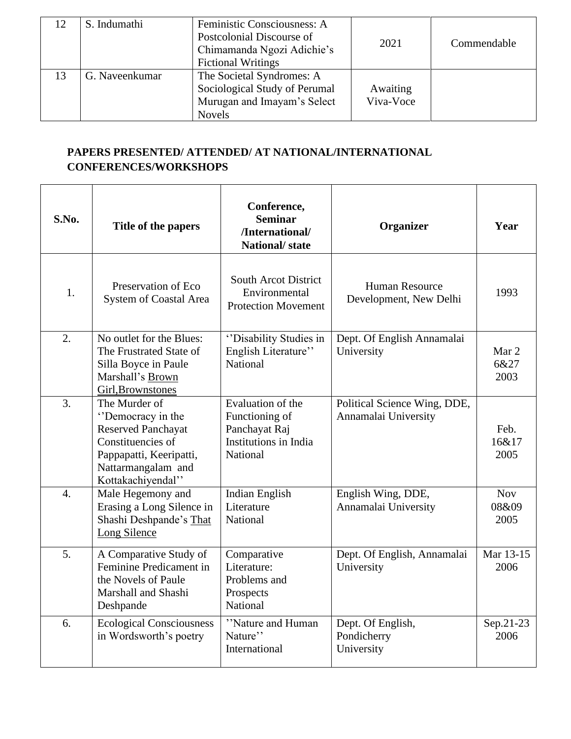|    | S. Indumathi   | Feministic Consciousness: A<br>Postcolonial Discourse of<br>Chimamanda Ngozi Adichie's<br><b>Fictional Writings</b> | 2021                  | Commendable |
|----|----------------|---------------------------------------------------------------------------------------------------------------------|-----------------------|-------------|
| 13 | G. Naveenkumar | The Societal Syndromes: A<br>Sociological Study of Perumal<br>Murugan and Imayam's Select<br><b>Novels</b>          | Awaiting<br>Viva-Voce |             |

# **PAPERS PRESENTED/ ATTENDED/ AT NATIONAL/INTERNATIONAL CONFERENCES/WORKSHOPS**

| S.No.            | Title of the papers                                                                                                                                        | Conference,<br><b>Seminar</b><br>/International/<br><b>National/state</b>                 | Organizer                                            | Year                        |
|------------------|------------------------------------------------------------------------------------------------------------------------------------------------------------|-------------------------------------------------------------------------------------------|------------------------------------------------------|-----------------------------|
| 1.               | Preservation of Eco<br>System of Coastal Area                                                                                                              | <b>South Arcot District</b><br>Environmental<br><b>Protection Movement</b>                | <b>Human Resource</b><br>Development, New Delhi      | 1993                        |
| 2.               | No outlet for the Blues:<br>The Frustrated State of<br>Silla Boyce in Paule<br>Marshall's Brown<br>Girl, Brownstones                                       | "Disability Studies in<br>English Literature"<br>National                                 | Dept. Of English Annamalai<br>University             | Mar 2<br>6&27<br>2003       |
| $\overline{3}$ . | The Murder of<br>"Democracy in the<br><b>Reserved Panchayat</b><br>Constituencies of<br>Pappapatti, Keeripatti,<br>Nattarmangalam and<br>Kottakachiyendal" | Evaluation of the<br>Functioning of<br>Panchayat Raj<br>Institutions in India<br>National | Political Science Wing, DDE,<br>Annamalai University | Feb.<br>16&17<br>2005       |
| $\overline{4}$ . | Male Hegemony and<br>Erasing a Long Silence in<br>Shashi Deshpande's That<br>Long Silence                                                                  | <b>Indian English</b><br>Literature<br>National                                           | English Wing, DDE,<br>Annamalai University           | <b>Nov</b><br>08&09<br>2005 |
| 5.               | A Comparative Study of<br>Feminine Predicament in<br>the Novels of Paule<br>Marshall and Shashi<br>Deshpande                                               | Comparative<br>Literature:<br>Problems and<br>Prospects<br>National                       | Dept. Of English, Annamalai<br>University            | Mar 13-15<br>2006           |
| 6.               | <b>Ecological Consciousness</b><br>in Wordsworth's poetry                                                                                                  | "Nature and Human"<br>Nature"<br>International                                            | Dept. Of English,<br>Pondicherry<br>University       | Sep.21-23<br>2006           |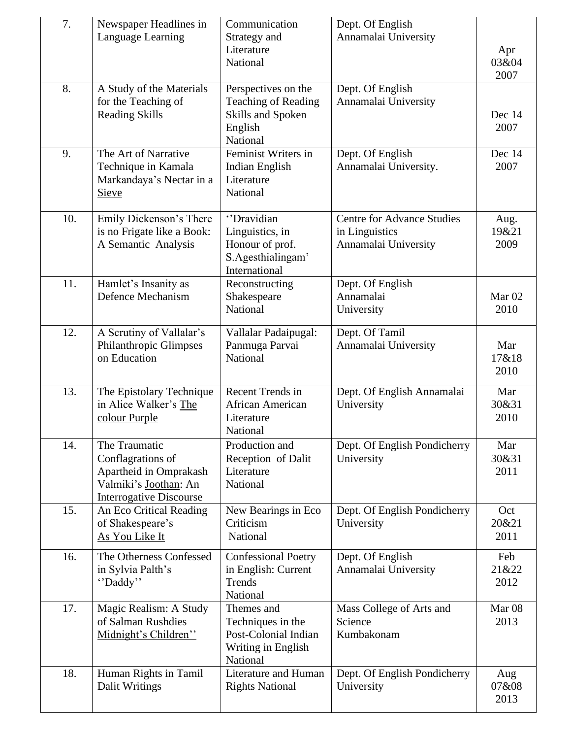| 7.  | Newspaper Headlines in                                                                                                  | Communication                                                                                 | Dept. Of English                                                            |                           |
|-----|-------------------------------------------------------------------------------------------------------------------------|-----------------------------------------------------------------------------------------------|-----------------------------------------------------------------------------|---------------------------|
|     | Language Learning                                                                                                       | Strategy and<br>Literature<br>National                                                        | Annamalai University                                                        | Apr<br>03&04<br>2007      |
| 8.  | A Study of the Materials<br>for the Teaching of<br><b>Reading Skills</b>                                                | Perspectives on the<br><b>Teaching of Reading</b><br>Skills and Spoken<br>English<br>National | Dept. Of English<br>Annamalai University                                    | Dec 14<br>2007            |
| 9.  | The Art of Narrative<br>Technique in Kamala<br>Markandaya's Nectar in a<br>Sieve                                        | Feminist Writers in<br><b>Indian English</b><br>Literature<br>National                        | Dept. Of English<br>Annamalai University.                                   | Dec 14<br>2007            |
| 10. | Emily Dickenson's There<br>is no Frigate like a Book:<br>A Semantic Analysis                                            | "Dravidian<br>Linguistics, in<br>Honour of prof.<br>S.Agesthialingam'<br>International        | <b>Centre for Advance Studies</b><br>in Linguistics<br>Annamalai University | Aug.<br>19&21<br>2009     |
| 11. | Hamlet's Insanity as<br>Defence Mechanism                                                                               | Reconstructing<br>Shakespeare<br>National                                                     | Dept. Of English<br>Annamalai<br>University                                 | Mar <sub>02</sub><br>2010 |
| 12. | A Scrutiny of Vallalar's<br>Philanthropic Glimpses<br>on Education                                                      | Vallalar Padaipugal:<br>Panmuga Parvai<br>National                                            | Dept. Of Tamil<br>Annamalai University                                      | Mar<br>17&18<br>2010      |
| 13. | The Epistolary Technique<br>in Alice Walker's The<br>colour Purple                                                      | Recent Trends in<br>African American<br>Literature<br>National                                | Dept. Of English Annamalai<br>University                                    | Mar<br>30&31<br>2010      |
| 14. | The Traumatic<br>Conflagrations of<br>Apartheid in Omprakash<br>Valmiki's Joothan: An<br><b>Interrogative Discourse</b> | Production and<br>Reception of Dalit<br>Literature<br>National                                | Dept. Of English Pondicherry<br>University                                  | Mar<br>30&31<br>2011      |
| 15. | An Eco Critical Reading<br>of Shakespeare's<br>As You Like It                                                           | New Bearings in Eco<br>Criticism<br>National                                                  | Dept. Of English Pondicherry<br>University                                  | Oct<br>20&21<br>2011      |
| 16. | The Otherness Confessed<br>in Sylvia Palth's<br>"Daddy"                                                                 | <b>Confessional Poetry</b><br>in English: Current<br>Trends<br>National                       | Dept. Of English<br>Annamalai University                                    | Feb<br>21&22<br>2012      |
| 17. | Magic Realism: A Study<br>of Salman Rushdies<br>Midnight's Children"                                                    | Themes and<br>Techniques in the<br>Post-Colonial Indian<br>Writing in English<br>National     | Mass College of Arts and<br>Science<br>Kumbakonam                           | Mar <sub>08</sub><br>2013 |
| 18. | Human Rights in Tamil<br>Dalit Writings                                                                                 | Literature and Human<br><b>Rights National</b>                                                | Dept. Of English Pondicherry<br>University                                  | Aug<br>07&08<br>2013      |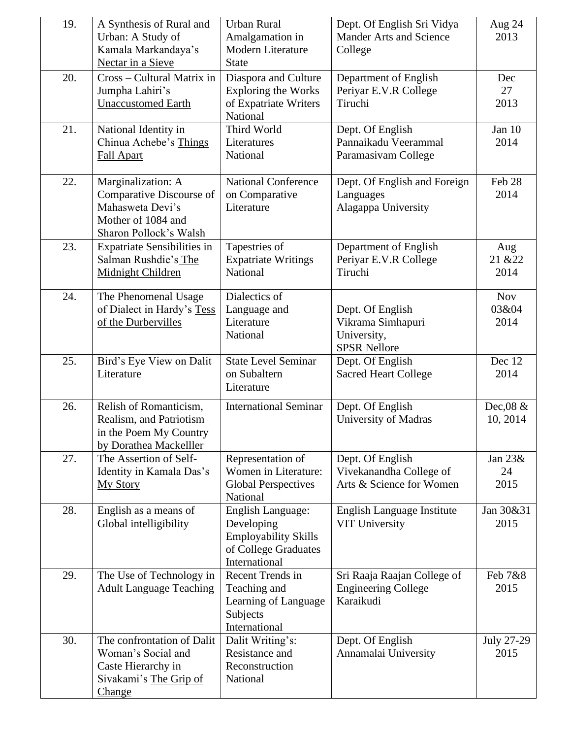| 19. | A Synthesis of Rural and<br>Urban: A Study of<br>Kamala Markandaya's<br>Nectar in a Sieve                          | <b>Urban Rural</b><br>Amalgamation in<br>Modern Literature<br><b>State</b>                                     | Dept. Of English Sri Vidya<br><b>Mander Arts and Science</b><br>College     | Aug 24<br>2013              |
|-----|--------------------------------------------------------------------------------------------------------------------|----------------------------------------------------------------------------------------------------------------|-----------------------------------------------------------------------------|-----------------------------|
| 20. | Cross – Cultural Matrix in<br>Jumpha Lahiri's<br><b>Unaccustomed Earth</b>                                         | Diaspora and Culture<br><b>Exploring the Works</b><br>of Expatriate Writers<br>National                        | Department of English<br>Periyar E.V.R College<br>Tiruchi                   | Dec<br>27<br>2013           |
| 21. | National Identity in<br>Chinua Achebe's Things<br>Fall Apart                                                       | Third World<br>Literatures<br>National                                                                         | Dept. Of English<br>Pannaikadu Veerammal<br>Paramasivam College             | Jan 10<br>2014              |
| 22. | Marginalization: A<br>Comparative Discourse of<br>Mahasweta Devi's<br>Mother of 1084 and<br>Sharon Pollock's Walsh | <b>National Conference</b><br>on Comparative<br>Literature                                                     | Dept. Of English and Foreign<br>Languages<br>Alagappa University            | Feb 28<br>2014              |
| 23. | <b>Expatriate Sensibilities in</b><br>Salman Rushdie's The<br>Midnight Children                                    | Tapestries of<br><b>Expatriate Writings</b><br>National                                                        | Department of English<br>Periyar E.V.R College<br>Tiruchi                   | Aug<br>21 & 22<br>2014      |
| 24. | The Phenomenal Usage<br>of Dialect in Hardy's Tess<br>of the Durbervilles                                          | Dialectics of<br>Language and<br>Literature<br>National                                                        | Dept. Of English<br>Vikrama Simhapuri<br>University,<br><b>SPSR Nellore</b> | <b>Nov</b><br>03&04<br>2014 |
| 25. | Bird's Eye View on Dalit<br>Literature                                                                             | <b>State Level Seminar</b><br>on Subaltern<br>Literature                                                       | Dept. Of English<br><b>Sacred Heart College</b>                             | Dec 12<br>2014              |
| 26. | Relish of Romanticism,<br>Realism, and Patriotism<br>in the Poem My Country<br>by Dorathea Mackelller              | <b>International Seminar</b>                                                                                   | Dept. Of English<br>University of Madras                                    | Dec,08 &<br>10, 2014        |
| 27. | The Assertion of Self-<br>Identity in Kamala Das's<br><b>My Story</b>                                              | Representation of<br>Women in Literature:<br><b>Global Perspectives</b><br>National                            | Dept. Of English<br>Vivekanandha College of<br>Arts & Science for Women     | Jan $23&$<br>24<br>2015     |
| 28. | English as a means of<br>Global intelligibility                                                                    | <b>English Language:</b><br>Developing<br><b>Employability Skills</b><br>of College Graduates<br>International | English Language Institute<br><b>VIT University</b>                         | Jan 30&31<br>2015           |
| 29. | The Use of Technology in<br><b>Adult Language Teaching</b>                                                         | Recent Trends in<br>Teaching and<br>Learning of Language<br>Subjects<br>International                          | Sri Raaja Raajan College of<br><b>Engineering College</b><br>Karaikudi      | Feb 7&8<br>2015             |
| 30. | The confrontation of Dalit<br>Woman's Social and<br>Caste Hierarchy in<br>Sivakami's The Grip of<br>Change         | Dalit Writing's:<br>Resistance and<br>Reconstruction<br>National                                               | Dept. Of English<br>Annamalai University                                    | July 27-29<br>2015          |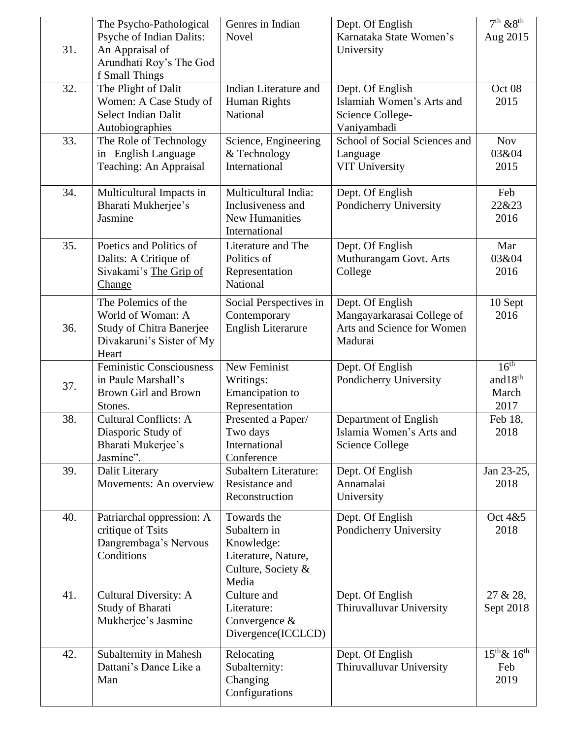|     | The Psycho-Pathological<br>Psyche of Indian Dalits:                                                               | Genres in Indian<br>Novel                                                                       | Dept. Of English<br>Karnataka State Women's                                             | $7th$ & $8th$<br>Aug 2015                              |
|-----|-------------------------------------------------------------------------------------------------------------------|-------------------------------------------------------------------------------------------------|-----------------------------------------------------------------------------------------|--------------------------------------------------------|
| 31. | An Appraisal of<br>Arundhati Roy's The God<br>f Small Things                                                      |                                                                                                 | University                                                                              |                                                        |
| 32. | The Plight of Dalit<br>Women: A Case Study of<br><b>Select Indian Dalit</b><br>Autobiographies                    | Indian Literature and<br>Human Rights<br>National                                               | Dept. Of English<br>Islamiah Women's Arts and<br>Science College-<br>Vaniyambadi        | Oct 08<br>2015                                         |
| 33. | The Role of Technology<br>in English Language<br>Teaching: An Appraisal                                           | Science, Engineering<br>& Technology<br>International                                           | School of Social Sciences and<br>Language<br><b>VIT University</b>                      | <b>Nov</b><br>03&04<br>2015                            |
| 34. | Multicultural Impacts in<br>Bharati Mukherjee's<br>Jasmine                                                        | Multicultural India:<br>Inclusiveness and<br><b>New Humanities</b><br>International             | Dept. Of English<br>Pondicherry University                                              | Feb<br>22&23<br>2016                                   |
| 35. | Poetics and Politics of<br>Dalits: A Critique of<br>Sivakami's The Grip of<br><b>Change</b>                       | Literature and The<br>Politics of<br>Representation<br>National                                 | Dept. Of English<br>Muthurangam Govt. Arts<br>College                                   | Mar<br>03&04<br>2016                                   |
| 36. | The Polemics of the<br>World of Woman: A<br><b>Study of Chitra Banerjee</b><br>Divakaruni's Sister of My<br>Heart | Social Perspectives in<br>Contemporary<br>English Literarure                                    | Dept. Of English<br>Mangayarkarasai College of<br>Arts and Science for Women<br>Madurai | 10 Sept<br>2016                                        |
| 37. | <b>Feministic Consciousness</b><br>in Paule Marshall's<br>Brown Girl and Brown<br>Stones.                         | New Feminist<br>Writings:<br>Emancipation to<br>Representation                                  | Dept. Of English<br>Pondicherry University                                              | 16 <sup>th</sup><br>and $18^{\rm th}$<br>March<br>2017 |
| 38. | <b>Cultural Conflicts: A</b><br>Diasporic Study of<br>Bharati Mukerjee's<br>Jasmine".                             | Presented a Paper/<br>Two days<br>International<br>Conference                                   | Department of English<br>Islamia Women's Arts and<br><b>Science College</b>             | Feb 18,<br>2018                                        |
| 39. | Dalit Literary<br>Movements: An overview                                                                          | Subaltern Literature:<br>Resistance and<br>Reconstruction                                       | Dept. Of English<br>Annamalai<br>University                                             | Jan 23-25,<br>2018                                     |
| 40. | Patriarchal oppression: A<br>critique of Tsits<br>Dangrembaga's Nervous<br>Conditions                             | Towards the<br>Subaltern in<br>Knowledge:<br>Literature, Nature,<br>Culture, Society &<br>Media | Dept. Of English<br>Pondicherry University                                              | Oct 4&5<br>2018                                        |
| 41. | Cultural Diversity: A<br>Study of Bharati<br>Mukherjee's Jasmine                                                  | Culture and<br>Literature:<br>Convergence $&$<br>Divergence(ICCLCD)                             | Dept. Of English<br>Thiruvalluvar University                                            | 27 & 28,<br>Sept 2018                                  |
| 42. | Subalternity in Mahesh<br>Dattani's Dance Like a<br>Man                                                           | Relocating<br>Subalternity:<br>Changing<br>Configurations                                       | Dept. Of English<br>Thiruvalluvar University                                            | $15^{th}$ & $16^{th}$<br>Feb<br>2019                   |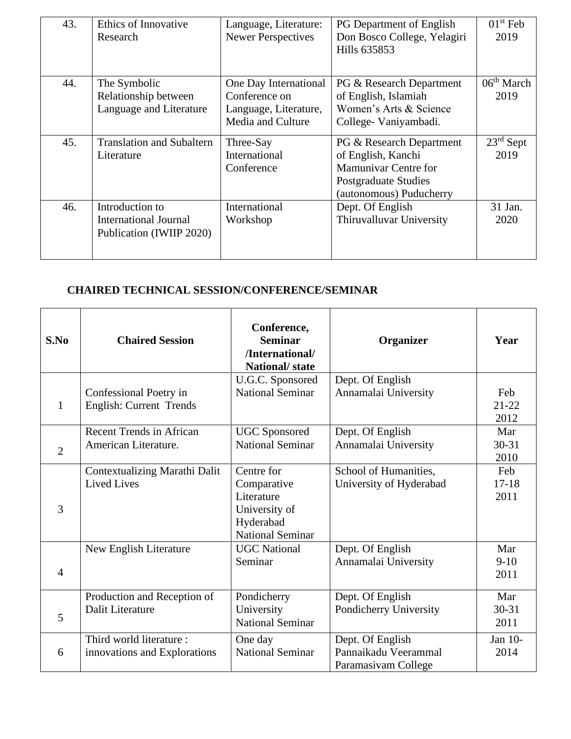| 43. | Ethics of Innovative<br>Research                                            | Language, Literature:<br><b>Newer Perspectives</b>                                   | <b>PG</b> Department of English<br>Don Bosco College, Yelagiri<br>Hills 635853                                            | $01st$ Feb<br>2019             |
|-----|-----------------------------------------------------------------------------|--------------------------------------------------------------------------------------|---------------------------------------------------------------------------------------------------------------------------|--------------------------------|
| 44. | The Symbolic<br>Relationship between<br>Language and Literature             | One Day International<br>Conference on<br>Language, Literature,<br>Media and Culture | PG & Research Department<br>of English, Islamiah<br>Women's Arts & Science<br>College-Vaniyambadi.                        | 06 <sup>th</sup> March<br>2019 |
| 45. | <b>Translation and Subaltern</b><br>Literature                              | Three-Say<br>International<br>Conference                                             | PG & Research Department<br>of English, Kanchi<br>Mamunivar Centre for<br>Postgraduate Studies<br>(autonomous) Puducherry | $23rd$ Sept<br>2019            |
| 46. | Introduction to<br><b>International Journal</b><br>Publication (IWIIP 2020) | International<br>Workshop                                                            | Dept. Of English<br>Thiruvalluvar University                                                                              | 31 Jan.<br>2020                |

# **CHAIRED TECHNICAL SESSION/CONFERENCE/SEMINAR**

| S.No           | <b>Chaired Session</b>                                   | Conference,<br><b>Seminar</b><br>/International/<br><b>National/state</b>                        | Organizer                                                       | Year                     |
|----------------|----------------------------------------------------------|--------------------------------------------------------------------------------------------------|-----------------------------------------------------------------|--------------------------|
| $\mathbf{1}$   | Confessional Poetry in<br>English: Current Trends        | U.G.C. Sponsored<br><b>National Seminar</b>                                                      | Dept. Of English<br>Annamalai University                        | Feb<br>$21 - 22$<br>2012 |
| $\overline{2}$ | <b>Recent Trends in African</b><br>American Literature.  | <b>UGC</b> Sponsored<br><b>National Seminar</b>                                                  | Dept. Of English<br>Annamalai University                        | Mar<br>$30 - 31$<br>2010 |
| 3              | Contextualizing Marathi Dalit<br><b>Lived Lives</b>      | Centre for<br>Comparative<br>Literature<br>University of<br>Hyderabad<br><b>National Seminar</b> | School of Humanities,<br>University of Hyderabad                | Feb<br>$17 - 18$<br>2011 |
| $\overline{4}$ | New English Literature                                   | <b>UGC</b> National<br>Seminar                                                                   | Dept. Of English<br>Annamalai University                        | Mar<br>$9-10$<br>2011    |
| 5              | Production and Reception of<br>Dalit Literature          | Pondicherry<br>University<br><b>National Seminar</b>                                             | Dept. Of English<br>Pondicherry University                      | Mar<br>$30 - 31$<br>2011 |
| 6              | Third world literature :<br>innovations and Explorations | One day<br><b>National Seminar</b>                                                               | Dept. Of English<br>Pannaikadu Veerammal<br>Paramasivam College | Jan 10-<br>2014          |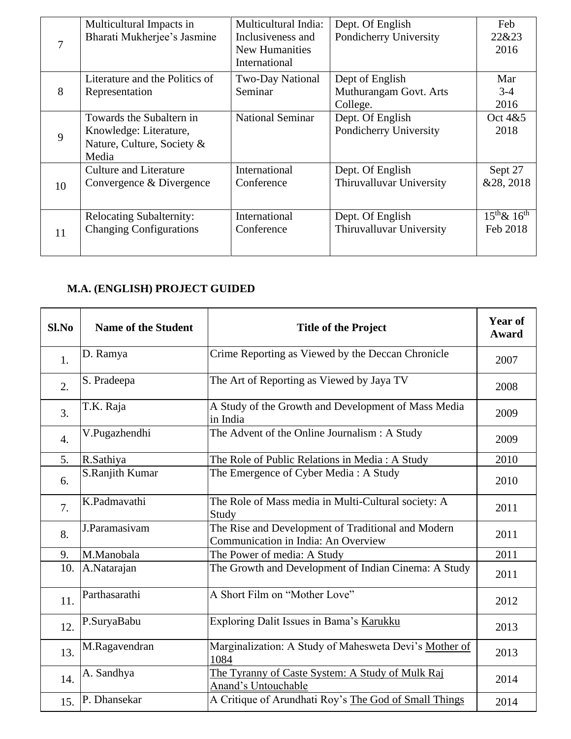|    | Multicultural Impacts in        | Multicultural India:    | Dept. Of English         | Feb                   |
|----|---------------------------------|-------------------------|--------------------------|-----------------------|
| 7  | Bharati Mukherjee's Jasmine     | Inclusiveness and       | Pondicherry University   | 22&23                 |
|    |                                 | New Humanities          |                          | 2016                  |
|    |                                 | International           |                          |                       |
|    | Literature and the Politics of  | <b>Two-Day National</b> | Dept of English          | Mar                   |
| 8  | Representation                  | Seminar                 | Muthurangam Govt. Arts   | $3-4$                 |
|    |                                 |                         | College.                 | 2016                  |
|    | Towards the Subaltern in        | <b>National Seminar</b> | Dept. Of English         | Oct 4&5               |
| 9  | Knowledge: Literature,          |                         | Pondicherry University   | 2018                  |
|    | Nature, Culture, Society &      |                         |                          |                       |
|    | Media                           |                         |                          |                       |
|    | <b>Culture and Literature</b>   | International           | Dept. Of English         | Sept 27               |
| 10 | Convergence & Divergence        | Conference              | Thiruvalluvar University | &28, 2018             |
|    |                                 |                         |                          |                       |
|    | <b>Relocating Subalternity:</b> | International           | Dept. Of English         | $15^{th}$ & $16^{th}$ |
|    | <b>Changing Configurations</b>  | Conference              | Thiruvalluvar University | Feb 2018              |
| 11 |                                 |                         |                          |                       |
|    |                                 |                         |                          |                       |

## **M.A. (ENGLISH) PROJECT GUIDED**

| Sl.No | <b>Name of the Student</b> | <b>Title of the Project</b>                                                               | <b>Year of</b><br><b>Award</b> |
|-------|----------------------------|-------------------------------------------------------------------------------------------|--------------------------------|
| 1.    | D. Ramya                   | Crime Reporting as Viewed by the Deccan Chronicle                                         | 2007                           |
| 2.    | S. Pradeepa                | The Art of Reporting as Viewed by Jaya TV                                                 | 2008                           |
| 3.    | T.K. Raja                  | A Study of the Growth and Development of Mass Media<br>in India                           | 2009                           |
| 4.    | V.Pugazhendhi              | The Advent of the Online Journalism : A Study                                             | 2009                           |
| 5.    | R.Sathiya                  | The Role of Public Relations in Media: A Study                                            | 2010                           |
| 6.    | S.Ranjith Kumar            | The Emergence of Cyber Media: A Study                                                     | 2010                           |
| 7.    | K.Padmavathi               | The Role of Mass media in Multi-Cultural society: A<br>Study                              | 2011                           |
| 8.    | J.Paramasivam              | The Rise and Development of Traditional and Modern<br>Communication in India: An Overview | 2011                           |
| 9.    | M.Manobala                 | The Power of media: A Study                                                               | 2011                           |
| 10.   | A.Natarajan                | The Growth and Development of Indian Cinema: A Study                                      | 2011                           |
| 11.   | Parthasarathi              | A Short Film on "Mother Love"                                                             | 2012                           |
| 12.   | P.SuryaBabu                | Exploring Dalit Issues in Bama's Karukku                                                  | 2013                           |
| 13.   | M.Ragavendran              | Marginalization: A Study of Mahesweta Devi's Mother of<br>1084                            | 2013                           |
| 14.   | A. Sandhya                 | The Tyranny of Caste System: A Study of Mulk Raj<br><b>Anand's Untouchable</b>            | 2014                           |
| 15.   | P. Dhansekar               | A Critique of Arundhati Roy's The God of Small Things                                     | 2014                           |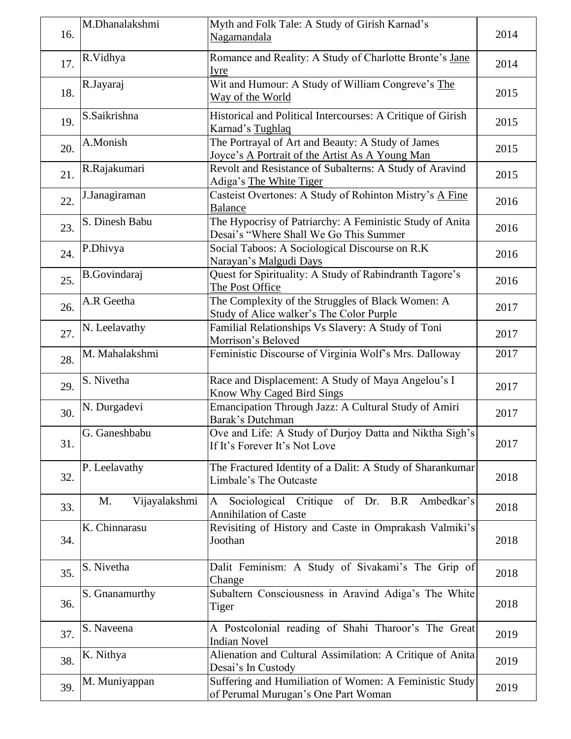| 16. | M.Dhanalakshmi      | Myth and Folk Tale: A Study of Girish Karnad's<br>Nagamandala                                        | 2014 |
|-----|---------------------|------------------------------------------------------------------------------------------------------|------|
| 17. | R.Vidhya            | Romance and Reality: A Study of Charlotte Bronte's Jane<br>Iyre                                      | 2014 |
| 18. | R.Jayaraj           | Wit and Humour: A Study of William Congreve's The<br>Way of the World                                | 2015 |
| 19. | S.Saikrishna        | Historical and Political Intercourses: A Critique of Girish<br>Karnad's Tughlaq                      | 2015 |
| 20. | A.Monish            | The Portrayal of Art and Beauty: A Study of James<br>Joyce's A Portrait of the Artist As A Young Man | 2015 |
| 21. | R.Rajakumari        | Revolt and Resistance of Subalterns: A Study of Aravind<br>Adiga's The White Tiger                   | 2015 |
| 22. | J.Janagiraman       | Casteist Overtones: A Study of Rohinton Mistry's A Fine<br><b>Balance</b>                            | 2016 |
| 23. | S. Dinesh Babu      | The Hypocrisy of Patriarchy: A Feministic Study of Anita<br>Desai's "Where Shall We Go This Summer   | 2016 |
| 24. | P.Dhivya            | Social Taboos: A Sociological Discourse on R.K<br>Narayan's Malgudi Days                             | 2016 |
| 25. | <b>B.Govindaraj</b> | Quest for Spirituality: A Study of Rabindranth Tagore's<br>The Post Office                           | 2016 |
| 26. | A.R Geetha          | The Complexity of the Struggles of Black Women: A<br>Study of Alice walker's The Color Purple        | 2017 |
| 27. | N. Leelavathy       | Familial Relationships Vs Slavery: A Study of Toni<br>Morrison's Beloved                             | 2017 |
| 28. | M. Mahalakshmi      | Feministic Discourse of Virginia Wolf's Mrs. Dalloway                                                | 2017 |
| 29. | S. Nivetha          | Race and Displacement: A Study of Maya Angelou's I<br>Know Why Caged Bird Sings                      | 2017 |
| 30. | N. Durgadevi        | Emancipation Through Jazz: A Cultural Study of Amiri<br>Barak's Dutchman                             | 2017 |
| 31. | G. Ganeshbabu       | Ove and Life: A Study of Durjoy Datta and Niktha Sigh's<br>If It's Forever It's Not Love             | 2017 |
| 32. | P. Leelavathy       | The Fractured Identity of a Dalit: A Study of Sharankumar<br>Limbale's The Outcaste                  | 2018 |
| 33. | Vijayalakshmi<br>M. | Sociological Critique of Dr. B.R Ambedkar's<br>A<br><b>Annihilation of Caste</b>                     | 2018 |
| 34. | K. Chinnarasu       | Revisiting of History and Caste in Omprakash Valmiki's<br>Joothan                                    | 2018 |
| 35. | S. Nivetha          | Dalit Feminism: A Study of Sivakami's The Grip of<br>Change                                          | 2018 |
| 36. | S. Gnanamurthy      | Subaltern Consciousness in Aravind Adiga's The White<br>Tiger                                        | 2018 |
| 37. | S. Naveena          | A Postcolonial reading of Shahi Tharoor's The Great<br><b>Indian Novel</b>                           | 2019 |
| 38. | K. Nithya           | Alienation and Cultural Assimilation: A Critique of Anita<br>Desai's In Custody                      | 2019 |
| 39. | M. Muniyappan       | Suffering and Humiliation of Women: A Feministic Study<br>of Perumal Murugan's One Part Woman        | 2019 |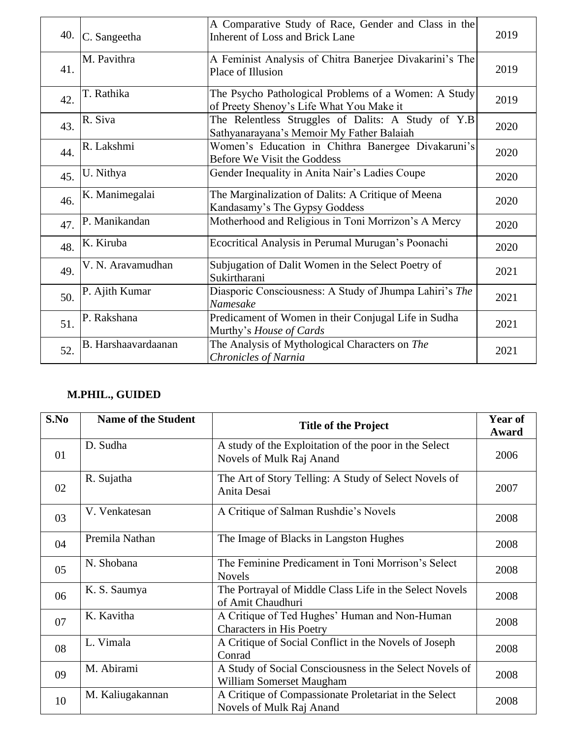| 40. | C. Sangeetha        | A Comparative Study of Race, Gender and Class in the<br><b>Inherent of Loss and Brick Lane</b>   | 2019 |
|-----|---------------------|--------------------------------------------------------------------------------------------------|------|
| 41. | M. Pavithra         | A Feminist Analysis of Chitra Banerjee Divakarini's The<br>Place of Illusion                     | 2019 |
| 42. | T. Rathika          | The Psycho Pathological Problems of a Women: A Study<br>of Preety Shenoy's Life What You Make it | 2019 |
| 43. | R. Siva             | The Relentless Struggles of Dalits: A Study of Y.B<br>Sathyanarayana's Memoir My Father Balaiah  | 2020 |
| 44. | R. Lakshmi          | Women's Education in Chithra Banergee Divakaruni's<br>Before We Visit the Goddess                | 2020 |
| 45. | U. Nithya           | Gender Inequality in Anita Nair's Ladies Coupe                                                   | 2020 |
| 46. | K. Manimegalai      | The Marginalization of Dalits: A Critique of Meena<br>Kandasamy's The Gypsy Goddess              | 2020 |
| 47. | P. Manikandan       | Motherhood and Religious in Toni Morrizon's A Mercy                                              | 2020 |
| 48. | K. Kiruba           | Ecocritical Analysis in Perumal Murugan's Poonachi                                               | 2020 |
| 49. | V. N. Aravamudhan   | Subjugation of Dalit Women in the Select Poetry of<br>Sukirtharani                               | 2021 |
| 50. | P. Ajith Kumar      | Diasporic Consciousness: A Study of Jhumpa Lahiri's The<br>Namesake                              | 2021 |
| 51. | P. Rakshana         | Predicament of Women in their Conjugal Life in Sudha<br>Murthy's House of Cards                  | 2021 |
| 52. | B. Harshaavardaanan | The Analysis of Mythological Characters on The<br>Chronicles of Narnia                           | 2021 |

# **M.PHIL., GUIDED**

| S.No | <b>Name of the Student</b> | <b>Title of the Project</b>                                                         | Year of<br>Award |
|------|----------------------------|-------------------------------------------------------------------------------------|------------------|
| 01   | D. Sudha                   | A study of the Exploitation of the poor in the Select<br>Novels of Mulk Raj Anand   | 2006             |
| 02   | R. Sujatha                 | The Art of Story Telling: A Study of Select Novels of<br>Anita Desai                | 2007             |
| 03   | V. Venkatesan              | A Critique of Salman Rushdie's Novels                                               | 2008             |
| 04   | Premila Nathan             | The Image of Blacks in Langston Hughes                                              | 2008             |
| 05   | N. Shobana                 | The Feminine Predicament in Toni Morrison's Select<br><b>Novels</b>                 | 2008             |
| 06   | K. S. Saumya               | The Portrayal of Middle Class Life in the Select Novels<br>of Amit Chaudhuri        | 2008             |
| 07   | K. Kavitha                 | A Critique of Ted Hughes' Human and Non-Human<br><b>Characters in His Poetry</b>    | 2008             |
| 08   | L. Vimala                  | A Critique of Social Conflict in the Novels of Joseph<br>Conrad                     | 2008             |
| 09   | M. Abirami                 | A Study of Social Consciousness in the Select Novels of<br>William Somerset Maugham | 2008             |
| 10   | M. Kaliugakannan           | A Critique of Compassionate Proletariat in the Select<br>Novels of Mulk Raj Anand   | 2008             |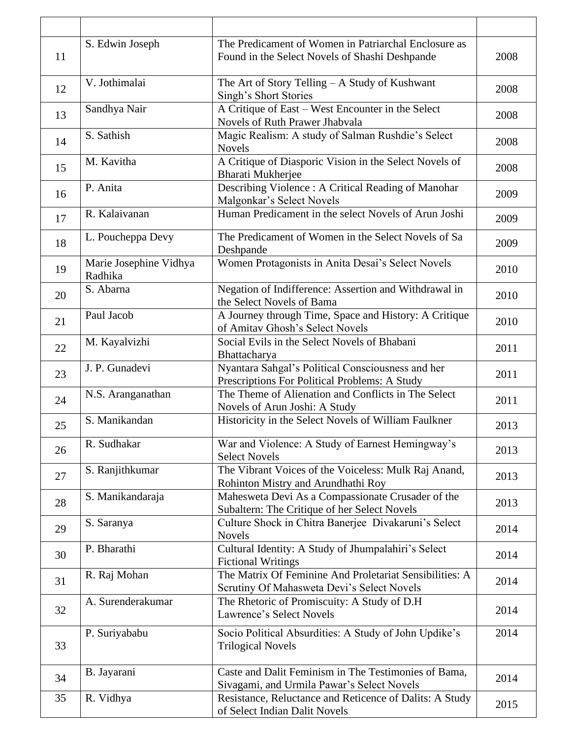|    | S. Edwin Joseph                   | The Predicament of Women in Patriarchal Enclosure as                                                  |      |
|----|-----------------------------------|-------------------------------------------------------------------------------------------------------|------|
| 11 |                                   | Found in the Select Novels of Shashi Deshpande                                                        | 2008 |
| 12 | V. Jothimalai                     | The Art of Story Telling - A Study of Kushwant<br>Singh's Short Stories                               | 2008 |
| 13 | Sandhya Nair                      | A Critique of East – West Encounter in the Select<br>Novels of Ruth Prawer Jhabvala                   | 2008 |
| 14 | S. Sathish                        | Magic Realism: A study of Salman Rushdie's Select<br><b>Novels</b>                                    | 2008 |
| 15 | M. Kavitha                        | A Critique of Diasporic Vision in the Select Novels of<br>Bharati Mukherjee                           | 2008 |
| 16 | P. Anita                          | Describing Violence: A Critical Reading of Manohar<br>Malgonkar's Select Novels                       | 2009 |
| 17 | R. Kalaivanan                     | Human Predicament in the select Novels of Arun Joshi                                                  | 2009 |
| 18 | L. Poucheppa Devy                 | The Predicament of Women in the Select Novels of Sa<br>Deshpande                                      | 2009 |
| 19 | Marie Josephine Vidhya<br>Radhika | Women Protagonists in Anita Desai's Select Novels                                                     | 2010 |
| 20 | S. Abarna                         | Negation of Indifference: Assertion and Withdrawal in<br>the Select Novels of Bama                    | 2010 |
| 21 | Paul Jacob                        | A Journey through Time, Space and History: A Critique<br>of Amitav Ghosh's Select Novels              | 2010 |
| 22 | M. Kayalvizhi                     | Social Evils in the Select Novels of Bhabani<br>Bhattacharya                                          | 2011 |
| 23 | J. P. Gunadevi                    | Nyantara Sahgal's Political Consciousness and her<br>Prescriptions For Political Problems: A Study    | 2011 |
| 24 | N.S. Aranganathan                 | The Theme of Alienation and Conflicts in The Select<br>Novels of Arun Joshi: A Study                  | 2011 |
| 25 | S. Manikandan                     | Historicity in the Select Novels of William Faulkner                                                  | 2013 |
| 26 | R. Sudhakar                       | War and Violence: A Study of Earnest Hemingway's<br><b>Select Novels</b>                              | 2013 |
| 27 | S. Ranjithkumar                   | The Vibrant Voices of the Voiceless: Mulk Raj Anand,<br>Rohinton Mistry and Arundhathi Roy            | 2013 |
| 28 | S. Manikandaraja                  | Mahesweta Devi As a Compassionate Crusader of the<br>Subaltern: The Critique of her Select Novels     | 2013 |
| 29 | S. Saranya                        | Culture Shock in Chitra Banerjee Divakaruni's Select<br><b>Novels</b>                                 | 2014 |
| 30 | P. Bharathi                       | Cultural Identity: A Study of Jhumpalahiri's Select<br><b>Fictional Writings</b>                      | 2014 |
| 31 | R. Raj Mohan                      | The Matrix Of Feminine And Proletariat Sensibilities: A<br>Scrutiny Of Mahasweta Devi's Select Novels | 2014 |
| 32 | A. Surenderakumar                 | The Rhetoric of Promiscuity: A Study of D.H<br>Lawrence's Select Novels                               | 2014 |
| 33 | P. Suriyababu                     | Socio Political Absurdities: A Study of John Updike's<br><b>Trilogical Novels</b>                     | 2014 |
| 34 | B. Jayarani                       | Caste and Dalit Feminism in The Testimonies of Bama,<br>Sivagami, and Urmila Pawar's Select Novels    | 2014 |
| 35 | R. Vidhya                         | Resistance, Reluctance and Reticence of Dalits: A Study<br>of Select Indian Dalit Novels              | 2015 |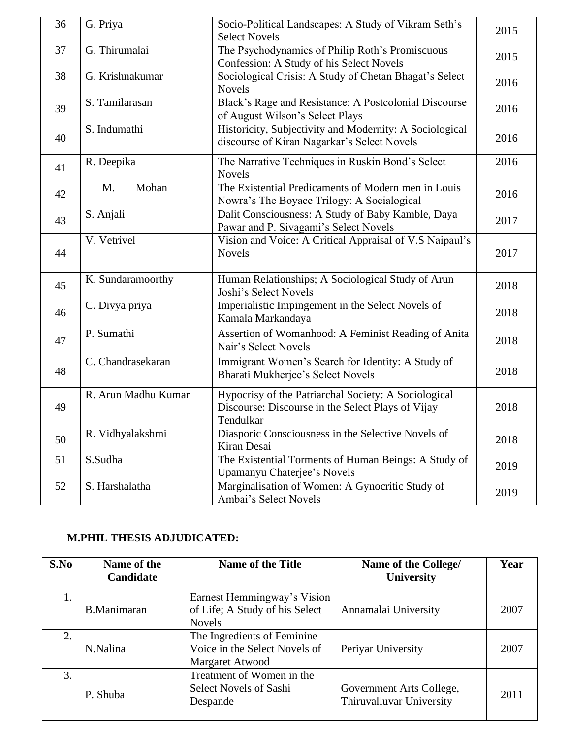| 36 | G. Priya            | Socio-Political Landscapes: A Study of Vikram Seth's<br><b>Select Novels</b>                                           | 2015 |
|----|---------------------|------------------------------------------------------------------------------------------------------------------------|------|
| 37 | G. Thirumalai       | The Psychodynamics of Philip Roth's Promiscuous<br>Confession: A Study of his Select Novels                            | 2015 |
| 38 | G. Krishnakumar     | Sociological Crisis: A Study of Chetan Bhagat's Select<br><b>Novels</b>                                                | 2016 |
| 39 | S. Tamilarasan      | Black's Rage and Resistance: A Postcolonial Discourse<br>of August Wilson's Select Plays                               | 2016 |
| 40 | S. Indumathi        | Historicity, Subjectivity and Modernity: A Sociological<br>discourse of Kiran Nagarkar's Select Novels                 | 2016 |
| 41 | R. Deepika          | The Narrative Techniques in Ruskin Bond's Select<br><b>Novels</b>                                                      | 2016 |
| 42 | Mohan<br>M.         | The Existential Predicaments of Modern men in Louis<br>Nowra's The Boyace Trilogy: A Socialogical                      | 2016 |
| 43 | S. Anjali           | Dalit Consciousness: A Study of Baby Kamble, Daya<br>Pawar and P. Sivagami's Select Novels                             | 2017 |
| 44 | V. Vetrivel         | Vision and Voice: A Critical Appraisal of V.S Naipaul's<br><b>Novels</b>                                               | 2017 |
| 45 | K. Sundaramoorthy   | Human Relationships; A Sociological Study of Arun<br>Joshi's Select Novels                                             | 2018 |
| 46 | C. Divya priya      | Imperialistic Impingement in the Select Novels of<br>Kamala Markandaya                                                 | 2018 |
| 47 | P. Sumathi          | Assertion of Womanhood: A Feminist Reading of Anita<br>Nair's Select Novels                                            | 2018 |
| 48 | C. Chandrasekaran   | Immigrant Women's Search for Identity: A Study of<br>Bharati Mukherjee's Select Novels                                 | 2018 |
| 49 | R. Arun Madhu Kumar | Hypocrisy of the Patriarchal Society: A Sociological<br>Discourse: Discourse in the Select Plays of Vijay<br>Tendulkar | 2018 |
| 50 | R. Vidhyalakshmi    | Diasporic Consciousness in the Selective Novels of<br>Kiran Desai                                                      | 2018 |
| 51 | S.Sudha             | The Existential Torments of Human Beings: A Study of<br>Upamanyu Chaterjee's Novels                                    | 2019 |
| 52 | S. Harshalatha      | Marginalisation of Women: A Gynocritic Study of<br>Ambai's Select Novels                                               | 2019 |

# **M.PHIL THESIS ADJUDICATED:**

| S.No | Name of the<br><b>Candidate</b> | <b>Name of the Title</b>                                                        | Name of the College/<br>University                   | Year |
|------|---------------------------------|---------------------------------------------------------------------------------|------------------------------------------------------|------|
| 1.   | <b>B.Manimaran</b>              | Earnest Hemmingway's Vision<br>of Life; A Study of his Select<br><b>Novels</b>  | Annamalai University                                 | 2007 |
| 2.   | N.Nalina                        | The Ingredients of Feminine<br>Voice in the Select Novels of<br>Margaret Atwood | Periyar University                                   | 2007 |
| 3.   | P. Shuba                        | Treatment of Women in the<br><b>Select Novels of Sashi</b><br>Despande          | Government Arts College,<br>Thiruvalluvar University | 2011 |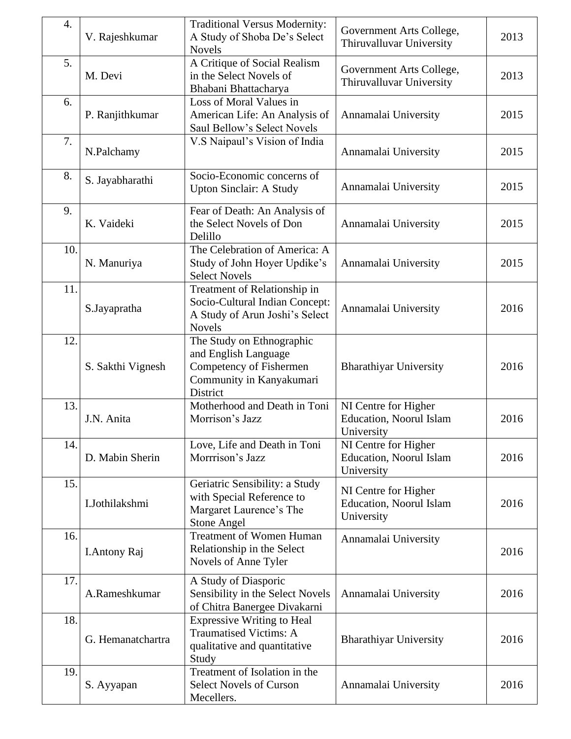| 4.  | V. Rajeshkumar    | <b>Traditional Versus Modernity:</b><br>A Study of Shoba De's Select<br><b>Novels</b>                                | Government Arts College,<br>Thiruvalluvar University          | 2013 |
|-----|-------------------|----------------------------------------------------------------------------------------------------------------------|---------------------------------------------------------------|------|
| 5.  | M. Devi           | A Critique of Social Realism<br>in the Select Novels of<br>Bhabani Bhattacharya                                      | Government Arts College,<br>Thiruvalluvar University          | 2013 |
| 6.  | P. Ranjithkumar   | Loss of Moral Values in<br>American Life: An Analysis of<br>Saul Bellow's Select Novels                              | Annamalai University                                          | 2015 |
| 7.  | N.Palchamy        | V.S Naipaul's Vision of India                                                                                        | Annamalai University                                          | 2015 |
| 8.  | S. Jayabharathi   | Socio-Economic concerns of<br><b>Upton Sinclair: A Study</b>                                                         | Annamalai University                                          | 2015 |
| 9.  | K. Vaideki        | Fear of Death: An Analysis of<br>the Select Novels of Don<br>Delillo                                                 | Annamalai University                                          | 2015 |
| 10. | N. Manuriya       | The Celebration of America: A<br>Study of John Hoyer Updike's<br><b>Select Novels</b>                                | Annamalai University                                          | 2015 |
| 11. | S.Jayapratha      | Treatment of Relationship in<br>Socio-Cultural Indian Concept:<br>A Study of Arun Joshi's Select<br><b>Novels</b>    | Annamalai University                                          | 2016 |
| 12. | S. Sakthi Vignesh | The Study on Ethnographic<br>and English Language<br>Competency of Fishermen<br>Community in Kanyakumari<br>District | <b>Bharathiyar University</b>                                 | 2016 |
| 13. | J.N. Anita        | Motherhood and Death in Toni<br>Morrison's Jazz                                                                      | NI Centre for Higher<br>Education, Noorul Islam<br>University | 2016 |
| 14. | D. Mabin Sherin   | Love, Life and Death in Toni<br>Morrrison's Jazz                                                                     | NI Centre for Higher<br>Education, Noorul Islam<br>University | 2016 |
| 15. | I.Jothilakshmi    | Geriatric Sensibility: a Study<br>with Special Reference to<br>Margaret Laurence's The<br><b>Stone Angel</b>         | NI Centre for Higher<br>Education, Noorul Islam<br>University | 2016 |
| 16. | I. Antony Raj     | <b>Treatment of Women Human</b><br>Relationship in the Select<br>Novels of Anne Tyler                                | Annamalai University                                          | 2016 |
| 17. | A.Rameshkumar     | A Study of Diasporic<br>Sensibility in the Select Novels<br>of Chitra Banergee Divakarni                             | Annamalai University                                          | 2016 |
| 18. | G. Hemanatchartra | <b>Expressive Writing to Heal</b><br><b>Traumatised Victims: A</b><br>qualitative and quantitative<br>Study          | <b>Bharathiyar University</b>                                 | 2016 |
| 19. | S. Ayyapan        | Treatment of Isolation in the<br>Select Novels of Curson<br>Mecellers.                                               | Annamalai University                                          | 2016 |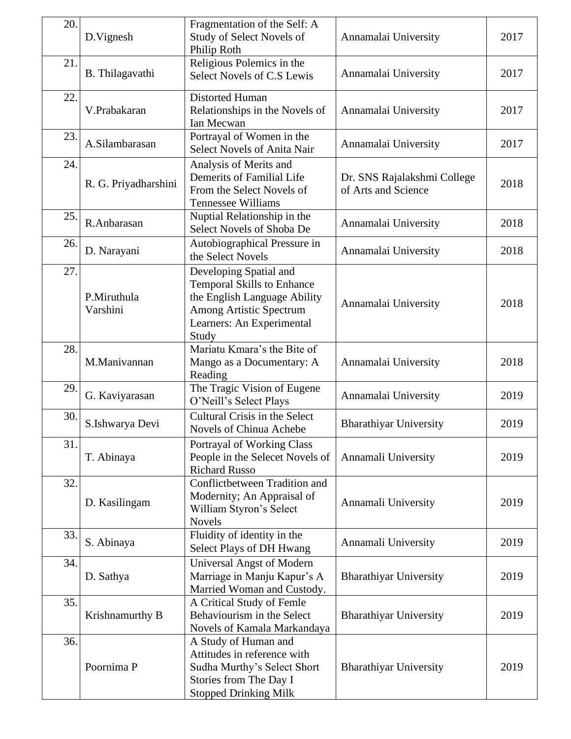| 20. | D.Vignesh               | Fragmentation of the Self: A<br>Study of Select Novels of<br>Philip Roth                                                                                     | Annamalai University                               | 2017 |
|-----|-------------------------|--------------------------------------------------------------------------------------------------------------------------------------------------------------|----------------------------------------------------|------|
| 21. | B. Thilagavathi         | Religious Polemics in the<br>Select Novels of C.S Lewis                                                                                                      | Annamalai University                               | 2017 |
| 22. | V.Prabakaran            | Distorted Human<br>Relationships in the Novels of<br>Ian Mecwan                                                                                              | Annamalai University                               | 2017 |
| 23. | A.Silambarasan          | Portrayal of Women in the<br><b>Select Novels of Anita Nair</b>                                                                                              | Annamalai University                               | 2017 |
| 24. | R. G. Priyadharshini    | Analysis of Merits and<br>Demerits of Familial Life<br>From the Select Novels of<br><b>Tennessee Williams</b>                                                | Dr. SNS Rajalakshmi College<br>of Arts and Science | 2018 |
| 25. | R.Anbarasan             | Nuptial Relationship in the<br>Select Novels of Shoba De                                                                                                     | Annamalai University                               | 2018 |
| 26. | D. Narayani             | Autobiographical Pressure in<br>the Select Novels                                                                                                            | Annamalai University                               | 2018 |
| 27. | P.Miruthula<br>Varshini | Developing Spatial and<br><b>Temporal Skills to Enhance</b><br>the English Language Ability<br>Among Artistic Spectrum<br>Learners: An Experimental<br>Study | Annamalai University                               | 2018 |
| 28. | M.Manivannan            | Mariatu Kmara's the Bite of<br>Mango as a Documentary: A<br>Reading                                                                                          | Annamalai University                               | 2018 |
| 29. | G. Kaviyarasan          | The Tragic Vision of Eugene<br>O'Neill's Select Plays                                                                                                        | Annamalai University                               | 2019 |
| 30. | S.Ishwarya Devi         | Cultural Crisis in the Select<br>Novels of Chinua Achebe                                                                                                     | <b>Bharathiyar University</b>                      | 2019 |
| 31. | T. Abinaya              | Portrayal of Working Class<br>People in the Selecet Novels of<br><b>Richard Russo</b>                                                                        | Annamali University                                | 2019 |
| 32. | D. Kasilingam           | Conflictbetween Tradition and<br>Modernity; An Appraisal of<br>William Styron's Select<br><b>Novels</b>                                                      | Annamali University                                | 2019 |
| 33. | S. Abinaya              | Fluidity of identity in the<br>Select Plays of DH Hwang                                                                                                      | Annamali University                                | 2019 |
| 34. | D. Sathya               | <b>Universal Angst of Modern</b><br>Marriage in Manju Kapur's A<br>Married Woman and Custody.                                                                | <b>Bharathiyar University</b>                      | 2019 |
| 35. | Krishnamurthy B         | A Critical Study of Femle<br>Behaviourism in the Select<br>Novels of Kamala Markandaya                                                                       | <b>Bharathiyar University</b>                      | 2019 |
| 36. | Poornima P              | A Study of Human and<br>Attitudes in reference with<br>Sudha Murthy's Select Short<br>Stories from The Day I<br><b>Stopped Drinking Milk</b>                 | <b>Bharathiyar University</b>                      | 2019 |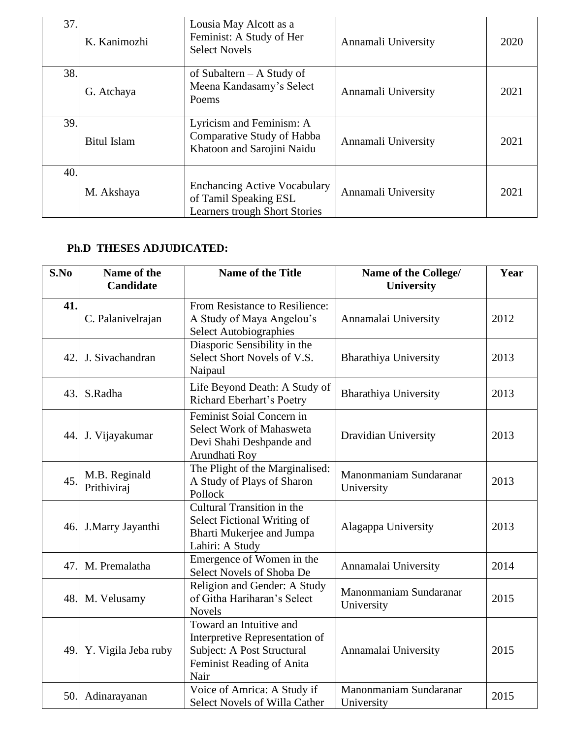| 37. | K. Kanimozhi       | Lousia May Alcott as a<br>Feminist: A Study of Her<br><b>Select Novels</b>                           | Annamali University | 2020 |
|-----|--------------------|------------------------------------------------------------------------------------------------------|---------------------|------|
| 38. | G. Atchaya         | of Subaltern $- A$ Study of<br>Meena Kandasamy's Select<br>Poems                                     | Annamali University | 2021 |
| 39. | <b>Bitul Islam</b> | Lyricism and Feminism: A<br>Comparative Study of Habba<br>Khatoon and Sarojini Naidu                 | Annamali University | 2021 |
| 40. | M. Akshaya         | <b>Enchancing Active Vocabulary</b><br>of Tamil Speaking ESL<br><b>Learners trough Short Stories</b> | Annamali University | 2021 |

# **Ph.D THESES ADJUDICATED:**

| S.No | Name of the<br><b>Candidate</b> | <b>Name of the Title</b>                                                                                                     | Name of the College/<br>University   | Year |
|------|---------------------------------|------------------------------------------------------------------------------------------------------------------------------|--------------------------------------|------|
| 41.  | C. Palanivelrajan               | From Resistance to Resilience:<br>A Study of Maya Angelou's<br><b>Select Autobiographies</b>                                 | Annamalai University                 | 2012 |
| 42.  | J. Sivachandran                 | Diasporic Sensibility in the<br>Select Short Novels of V.S.<br>Naipaul                                                       | <b>Bharathiya University</b>         | 2013 |
| 43.  | S.Radha                         | Life Beyond Death: A Study of<br>Richard Eberhart's Poetry                                                                   | <b>Bharathiya University</b>         | 2013 |
| 44.  | J. Vijayakumar                  | Feminist Soial Concern in<br>Select Work of Mahasweta<br>Devi Shahi Deshpande and<br>Arundhati Roy                           | Dravidian University                 | 2013 |
| 45.  | M.B. Reginald<br>Prithiviraj    | The Plight of the Marginalised:<br>A Study of Plays of Sharon<br>Pollock                                                     | Manonmaniam Sundaranar<br>University | 2013 |
| 46.  | J.Marry Jayanthi                | Cultural Transition in the<br>Select Fictional Writing of<br>Bharti Mukerjee and Jumpa<br>Lahiri: A Study                    | Alagappa University                  | 2013 |
| 47.  | M. Premalatha                   | Emergence of Women in the<br>Select Novels of Shoba De                                                                       | Annamalai University                 | 2014 |
| 48.  | M. Velusamy                     | Religion and Gender: A Study<br>of Githa Hariharan's Select<br><b>Novels</b>                                                 | Manonmaniam Sundaranar<br>University | 2015 |
| 49.  | Y. Vigila Jeba ruby             | Toward an Intuitive and<br>Interpretive Representation of<br>Subject: A Post Structural<br>Feminist Reading of Anita<br>Nair | Annamalai University                 | 2015 |
| 50.  | Adinarayanan                    | Voice of Amrica: A Study if<br>Select Novels of Willa Cather                                                                 | Manonmaniam Sundaranar<br>University | 2015 |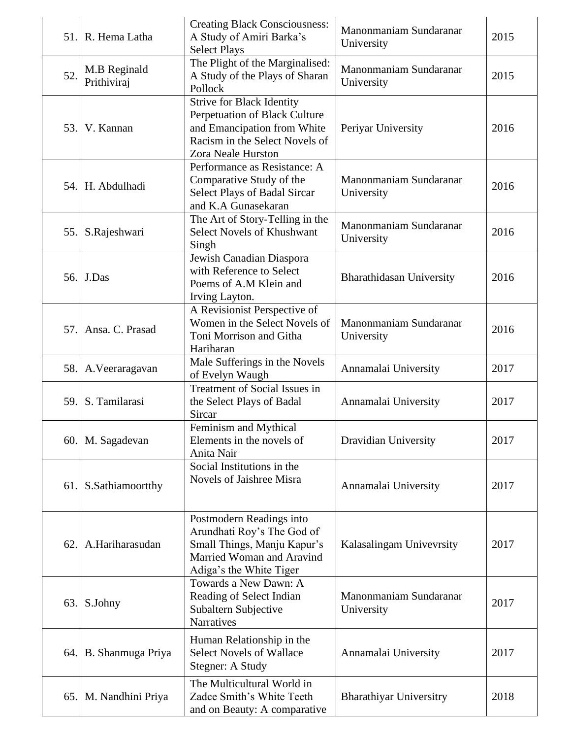| 51.1 | R. Hema Latha               | <b>Creating Black Consciousness:</b><br>A Study of Amiri Barka's<br><b>Select Plays</b>                                                                  | Manonmaniam Sundaranar<br>University | 2015 |
|------|-----------------------------|----------------------------------------------------------------------------------------------------------------------------------------------------------|--------------------------------------|------|
| 52.  | M.B Reginald<br>Prithiviraj | The Plight of the Marginalised:<br>A Study of the Plays of Sharan<br>Pollock                                                                             | Manonmaniam Sundaranar<br>University | 2015 |
| 53.  | V. Kannan                   | <b>Strive for Black Identity</b><br>Perpetuation of Black Culture<br>and Emancipation from White<br>Racism in the Select Novels of<br>Zora Neale Hurston | Periyar University                   | 2016 |
|      | 54. H. Abdulhadi            | Performance as Resistance: A<br>Comparative Study of the<br><b>Select Plays of Badal Sircar</b><br>and K.A Gunasekaran                                   | Manonmaniam Sundaranar<br>University | 2016 |
| 55.  | S.Rajeshwari                | The Art of Story-Telling in the<br>Select Novels of Khushwant<br>Singh                                                                                   | Manonmaniam Sundaranar<br>University | 2016 |
|      | 56. J.Das                   | Jewish Canadian Diaspora<br>with Reference to Select<br>Poems of A.M Klein and<br>Irving Layton.                                                         | <b>Bharathidasan University</b>      | 2016 |
| 57.  | Ansa. C. Prasad             | A Revisionist Perspective of<br>Women in the Select Novels of<br>Toni Morrison and Githa<br>Hariharan                                                    | Manonmaniam Sundaranar<br>University | 2016 |
| 58.  | A. Veeraragavan             | Male Sufferings in the Novels<br>of Evelyn Waugh                                                                                                         | Annamalai University                 | 2017 |
| 59.  | S. Tamilarasi               | Treatment of Social Issues in<br>the Select Plays of Badal<br>Sircar                                                                                     | Annamalai University                 | 2017 |
|      | 60. M. Sagadevan            | Feminism and Mythical<br>Elements in the novels of<br>Anita Nair                                                                                         | Dravidian University                 | 2017 |
| 61.  | S.Sathiamoortthy            | Social Institutions in the<br>Novels of Jaishree Misra                                                                                                   | Annamalai University                 | 2017 |
| 62.  | A.Hariharasudan             | Postmodern Readings into<br>Arundhati Roy's The God of<br>Small Things, Manju Kapur's<br>Married Woman and Aravind<br>Adiga's the White Tiger            | Kalasalingam Univevrsity             | 2017 |
| 63.  | S.Johny                     | Towards a New Dawn: A<br>Reading of Select Indian<br>Subaltern Subjective<br><b>Narratives</b>                                                           | Manonmaniam Sundaranar<br>University | 2017 |
|      | 64. B. Shanmuga Priya       | Human Relationship in the<br><b>Select Novels of Wallace</b><br>Stegner: A Study                                                                         | Annamalai University                 | 2017 |
|      | 65. M. Nandhini Priya       | The Multicultural World in<br>Zadce Smith's White Teeth<br>and on Beauty: A comparative                                                                  | <b>Bharathiyar Universitry</b>       | 2018 |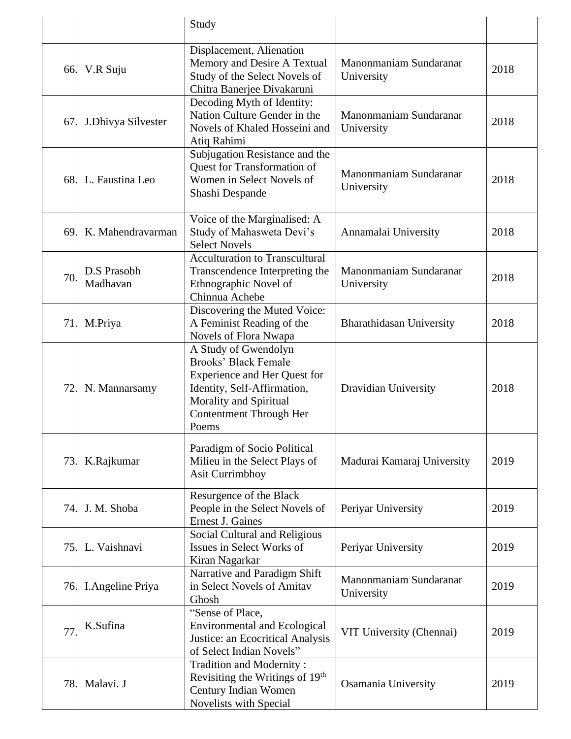|      |                          | Study                                                                                                                                                                            |                                      |      |
|------|--------------------------|----------------------------------------------------------------------------------------------------------------------------------------------------------------------------------|--------------------------------------|------|
|      | 66. V.R Suju             | Displacement, Alienation<br>Memory and Desire A Textual<br>Study of the Select Novels of<br>Chitra Banerjee Divakaruni                                                           | Manonmaniam Sundaranar<br>University | 2018 |
| 67.  | J.Dhivya Silvester       | Decoding Myth of Identity:<br>Nation Culture Gender in the<br>Novels of Khaled Hosseini and<br>Atiq Rahimi                                                                       | Manonmaniam Sundaranar<br>University | 2018 |
|      | 68. L. Faustina Leo      | Subjugation Resistance and the<br>Quest for Transformation of<br>Women in Select Novels of<br>Shashi Despande                                                                    | Manonmaniam Sundaranar<br>University | 2018 |
| 69.1 | K. Mahendravarman        | Voice of the Marginalised: A<br>Study of Mahasweta Devi's<br><b>Select Novels</b>                                                                                                | Annamalai University                 | 2018 |
| 70.  | D.S Prasobh<br>Madhavan  | <b>Acculturation to Transcultural</b><br>Transcendence Interpreting the<br>Ethnographic Novel of<br>Chinnua Achebe                                                               | Manonmaniam Sundaranar<br>University | 2018 |
| 71.  | M.Priya                  | Discovering the Muted Voice:<br>A Feminist Reading of the<br>Novels of Flora Nwapa                                                                                               | <b>Bharathidasan University</b>      | 2018 |
| 72.1 | N. Mannarsamy            | A Study of Gwendolyn<br>Brooks' Black Female<br><b>Experience and Her Quest for</b><br>Identity, Self-Affirmation,<br>Morality and Spiritual<br>Contentment Through Her<br>Poems | Dravidian University                 | 2018 |
| 73.1 | K.Rajkumar               | Paradigm of Socio Political<br>Milieu in the Select Plays of<br><b>Asit Currimbhoy</b>                                                                                           | Madurai Kamaraj University           | 2019 |
| 74.  | J. M. Shoba              | Resurgence of the Black<br>People in the Select Novels of<br><b>Ernest J. Gaines</b>                                                                                             | Periyar University                   | 2019 |
| 75.  | L. Vaishnavi             | Social Cultural and Religious<br>Issues in Select Works of<br>Kiran Nagarkar                                                                                                     | Periyar University                   | 2019 |
| 76.  | <b>I. Angeline Priya</b> | Narrative and Paradigm Shift<br>in Select Novels of Amitav<br>Ghosh                                                                                                              | Manonmaniam Sundaranar<br>University | 2019 |
| 77.  | K.Sufina                 | "Sense of Place,<br><b>Environmental and Ecological</b><br>Justice: an Ecocritical Analysis<br>of Select Indian Novels"                                                          | VIT University (Chennai)             | 2019 |
| 78.  | Malavi. J                | Tradition and Modernity:<br>Revisiting the Writings of 19 <sup>th</sup><br>Century Indian Women<br>Novelists with Special                                                        | Osamania University                  | 2019 |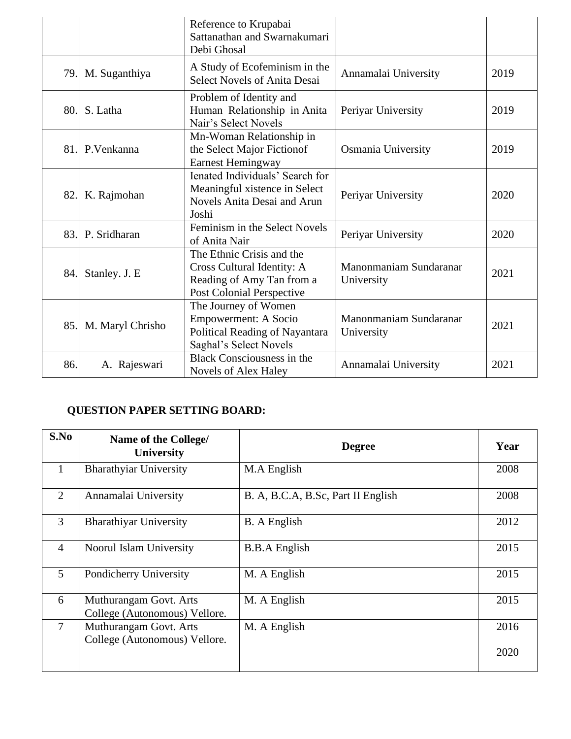|     |                  | Reference to Krupabai<br>Sattanathan and Swarnakumari<br>Debi Ghosal                                              |                                      |      |
|-----|------------------|-------------------------------------------------------------------------------------------------------------------|--------------------------------------|------|
| 79. | M. Suganthiya    | A Study of Ecofeminism in the<br><b>Select Novels of Anita Desai</b>                                              | Annamalai University                 | 2019 |
| 80. | S. Latha         | Problem of Identity and<br>Human Relationship in Anita<br>Nair's Select Novels                                    | Periyar University                   | 2019 |
| 81. | P.Venkanna       | Mn-Woman Relationship in<br>the Select Major Fictionof<br><b>Earnest Hemingway</b>                                | Osmania University                   | 2019 |
| 82. | K. Rajmohan      | Ienated Individuals' Search for<br>Meaningful xistence in Select<br>Novels Anita Desai and Arun<br>Joshi          | Periyar University                   | 2020 |
| 83. | P. Sridharan     | Feminism in the Select Novels<br>of Anita Nair                                                                    | Periyar University                   | 2020 |
| 84. | Stanley. J. E    | The Ethnic Crisis and the<br>Cross Cultural Identity: A<br>Reading of Amy Tan from a<br>Post Colonial Perspective | Manonmaniam Sundaranar<br>University | 2021 |
| 85. | M. Maryl Chrisho | The Journey of Women<br><b>Empowerment: A Socio</b><br>Political Reading of Nayantara<br>Saghal's Select Novels   | Manonmaniam Sundaranar<br>University | 2021 |
| 86. | A. Rajeswari     | <b>Black Consciousness in the</b><br><b>Novels of Alex Haley</b>                                                  | Annamalai University                 | 2021 |

# **QUESTION PAPER SETTING BOARD:**

| S.No           | Name of the College/<br><b>University</b>               | <b>Degree</b>                      | Year |
|----------------|---------------------------------------------------------|------------------------------------|------|
| $\mathbf{1}$   | <b>Bharathyiar University</b>                           | M.A English                        | 2008 |
| $\overline{2}$ | Annamalai University                                    | B. A, B.C.A, B.Sc, Part II English | 2008 |
| 3              | <b>Bharathiyar University</b>                           | <b>B.</b> A English                | 2012 |
| $\overline{4}$ | Noorul Islam University                                 | <b>B.B.A</b> English               | 2015 |
| 5              | Pondicherry University                                  | M. A English                       | 2015 |
| 6              | Muthurangam Govt. Arts<br>College (Autonomous) Vellore. | M. A English                       | 2015 |
| $\tau$         | Muthurangam Govt. Arts<br>College (Autonomous) Vellore. | M. A English                       | 2016 |
|                |                                                         |                                    | 2020 |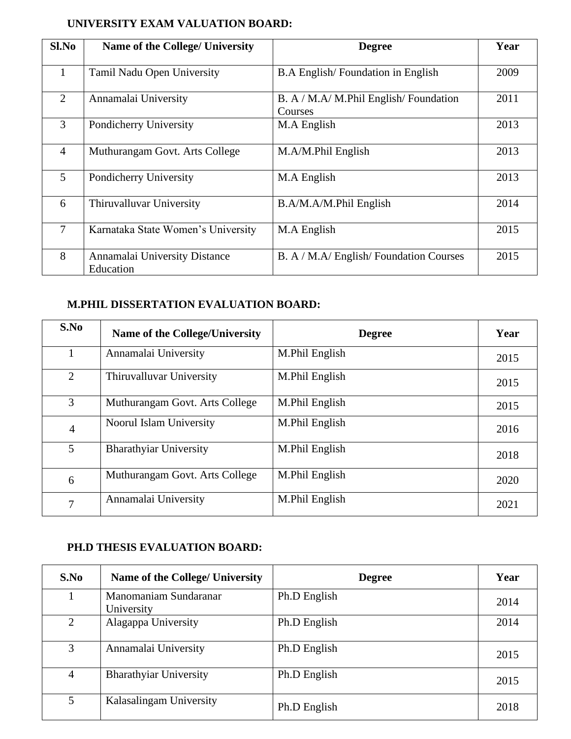# **UNIVERSITY EXAM VALUATION BOARD:**

| Sl.No          | Name of the College/ University            | <b>Degree</b>                                     | Year |
|----------------|--------------------------------------------|---------------------------------------------------|------|
| $\mathbf{1}$   | Tamil Nadu Open University                 | B.A English/Foundation in English                 | 2009 |
| $\overline{2}$ | Annamalai University                       | B. A / M.A/ M.Phil English/ Foundation<br>Courses | 2011 |
| 3              | Pondicherry University                     | M.A English                                       | 2013 |
| $\overline{4}$ | Muthurangam Govt. Arts College             | M.A/M.Phil English                                | 2013 |
| 5              | Pondicherry University                     | M.A English                                       | 2013 |
| 6              | Thiruvalluvar University                   | B.A/M.A/M.Phil English                            | 2014 |
| 7              | Karnataka State Women's University         | M.A English                                       | 2015 |
| 8              | Annamalai University Distance<br>Education | B. A / M.A/ English/ Foundation Courses           | 2015 |

#### **M.PHIL DISSERTATION EVALUATION BOARD:**

| S.No           | <b>Name of the College/University</b> | <b>Degree</b>  | Year |
|----------------|---------------------------------------|----------------|------|
|                | Annamalai University                  | M.Phil English | 2015 |
| 2              | Thiruvalluvar University              | M.Phil English | 2015 |
| 3              | Muthurangam Govt. Arts College        | M.Phil English | 2015 |
| $\overline{4}$ | Noorul Islam University               | M.Phil English | 2016 |
| 5              | <b>Bharathyiar University</b>         | M.Phil English | 2018 |
| 6              | Muthurangam Govt. Arts College        | M.Phil English | 2020 |
| 7              | Annamalai University                  | M.Phil English | 2021 |

## **PH.D THESIS EVALUATION BOARD:**

| S.No           | Name of the College/ University     | <b>Degree</b> | Year |
|----------------|-------------------------------------|---------------|------|
|                | Manomaniam Sundaranar<br>University | Ph.D English  | 2014 |
| 2              | Alagappa University                 | Ph.D English  | 2014 |
| 3              | Annamalai University                | Ph.D English  | 2015 |
| $\overline{4}$ | <b>Bharathyiar University</b>       | Ph.D English  | 2015 |
| 5              | Kalasalingam University             | Ph.D English  | 2018 |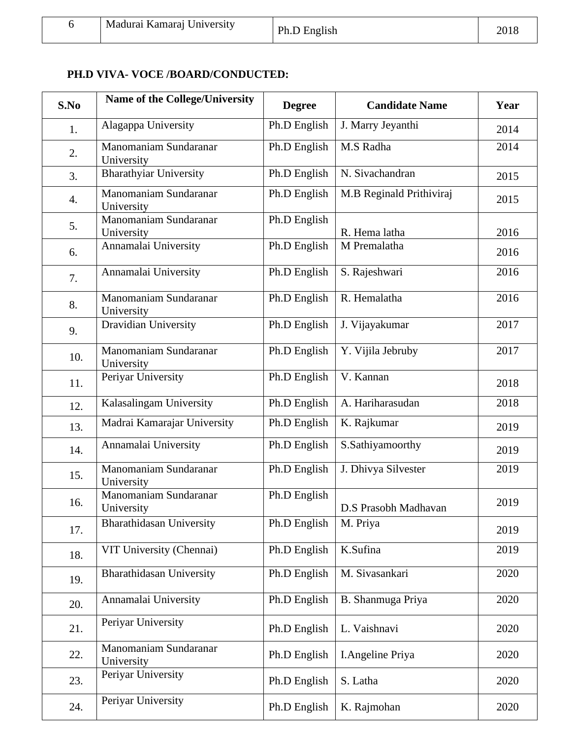|  | Madurai Kamarai University | Ph.D English | 2018 |
|--|----------------------------|--------------|------|
|--|----------------------------|--------------|------|

# **PH.D VIVA- VOCE /BOARD/CONDUCTED:**

| S.No | <b>Name of the College/University</b> | <b>Degree</b> | <b>Candidate Name</b>    | Year |
|------|---------------------------------------|---------------|--------------------------|------|
| 1.   | Alagappa University                   | Ph.D English  | J. Marry Jeyanthi        | 2014 |
| 2.   | Manomaniam Sundaranar<br>University   | Ph.D English  | M.S Radha                | 2014 |
| 3.   | <b>Bharathyiar University</b>         | Ph.D English  | N. Sivachandran          | 2015 |
| 4.   | Manomaniam Sundaranar<br>University   | Ph.D English  | M.B Reginald Prithiviraj | 2015 |
| 5.   | Manomaniam Sundaranar<br>University   | Ph.D English  | R. Hema latha            | 2016 |
| 6.   | Annamalai University                  | Ph.D English  | M Premalatha             | 2016 |
| 7.   | Annamalai University                  | Ph.D English  | S. Rajeshwari            | 2016 |
| 8.   | Manomaniam Sundaranar<br>University   | Ph.D English  | R. Hemalatha             | 2016 |
| 9.   | Dravidian University                  | Ph.D English  | J. Vijayakumar           | 2017 |
| 10.  | Manomaniam Sundaranar<br>University   | Ph.D English  | Y. Vijila Jebruby        | 2017 |
| 11.  | Periyar University                    | Ph.D English  | V. Kannan                | 2018 |
| 12.  | Kalasalingam University               | Ph.D English  | A. Hariharasudan         | 2018 |
| 13.  | Madrai Kamarajar University           | Ph.D English  | K. Rajkumar              | 2019 |
| 14.  | Annamalai University                  | Ph.D English  | S.Sathiyamoorthy         | 2019 |
| 15.  | Manomaniam Sundaranar<br>University   | Ph.D English  | J. Dhivya Silvester      | 2019 |
| 16.  | Manomaniam Sundaranar<br>University   | Ph.D English  | D.S Prasobh Madhavan     | 2019 |
| 17.  | <b>Bharathidasan University</b>       | Ph.D English  | M. Priya                 | 2019 |
| 18.  | VIT University (Chennai)              | Ph.D English  | K.Sufina                 | 2019 |
| 19.  | Bharathidasan University              | Ph.D English  | M. Sivasankari           | 2020 |
| 20.  | Annamalai University                  | Ph.D English  | B. Shanmuga Priya        | 2020 |
| 21.  | Periyar University                    | Ph.D English  | L. Vaishnavi             | 2020 |
| 22.  | Manomaniam Sundaranar<br>University   | Ph.D English  | <b>I.Angeline Priya</b>  | 2020 |
| 23.  | Periyar University                    | Ph.D English  | S. Latha                 | 2020 |
| 24.  | Periyar University                    | Ph.D English  | K. Rajmohan              | 2020 |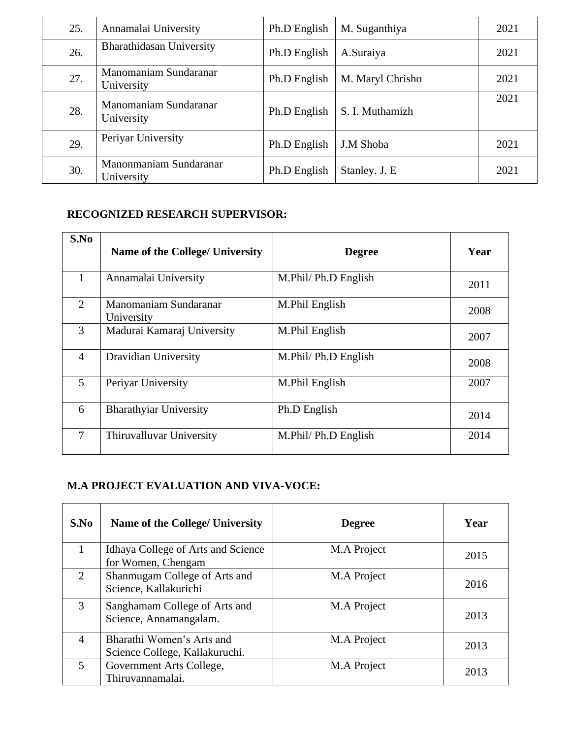| 25. | Annamalai University                 | Ph.D English | M. Suganthiya    | 2021 |
|-----|--------------------------------------|--------------|------------------|------|
| 26. | Bharathidasan University             | Ph.D English | A.Suraiya        | 2021 |
| 27. | Manomaniam Sundaranar<br>University  | Ph.D English | M. Maryl Chrisho | 2021 |
| 28. | Manomaniam Sundaranar<br>University  | Ph.D English | S. I. Muthamizh  | 2021 |
| 29. | Periyar University                   | Ph.D English | J.M Shoba        | 2021 |
| 30. | Manonmaniam Sundaranar<br>University | Ph.D English | Stanley. J. E    | 2021 |

## **RECOGNIZED RESEARCH SUPERVISOR:**

| S.No           | Name of the College/ University     | <b>Degree</b>        | Year |
|----------------|-------------------------------------|----------------------|------|
| 1              | Annamalai University                | M.Phil/ Ph.D English | 2011 |
| $\overline{2}$ | Manomaniam Sundaranar<br>University | M.Phil English       | 2008 |
| 3              | Madurai Kamaraj University          | M.Phil English       | 2007 |
| $\overline{4}$ | Dravidian University                | M.Phil/ Ph.D English | 2008 |
| 5              | Periyar University                  | M.Phil English       | 2007 |
| 6              | <b>Bharathyiar University</b>       | Ph.D English         | 2014 |
| $\overline{7}$ | Thiruvalluvar University            | M.Phil/ Ph.D English | 2014 |

# **M.A PROJECT EVALUATION AND VIVA-VOCE:**

| S.No           | Name of the College/ University                             | <b>Degree</b> | Year |
|----------------|-------------------------------------------------------------|---------------|------|
| 1              | Idhaya College of Arts and Science<br>for Women, Chengam    | M.A Project   | 2015 |
| $\overline{2}$ | Shanmugam College of Arts and<br>Science, Kallakurichi      | M.A Project   | 2016 |
| 3              | Sanghamam College of Arts and<br>Science, Annamangalam.     | M.A Project   | 2013 |
| $\overline{4}$ | Bharathi Women's Arts and<br>Science College, Kallakuruchi. | M.A Project   | 2013 |
| 5              | Government Arts College,<br>Thiruvannamalai.                | M.A Project   | 2013 |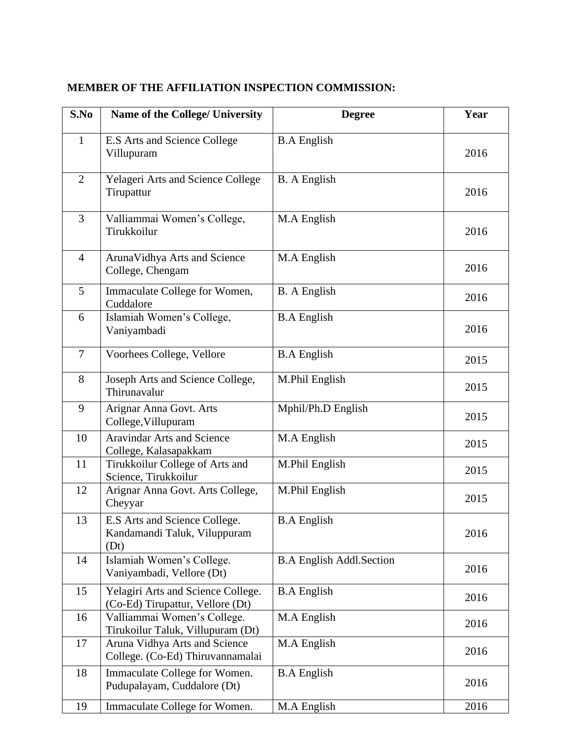| S.No           | <b>Name of the College/ University</b>                                 | <b>Degree</b>                   | Year |
|----------------|------------------------------------------------------------------------|---------------------------------|------|
| $\mathbf{1}$   | E.S Arts and Science College<br>Villupuram                             | <b>B.A</b> English              | 2016 |
| $\overline{2}$ | Yelageri Arts and Science College<br>Tirupattur                        | <b>B.</b> A English             | 2016 |
| 3              | Valliammai Women's College,<br>Tirukkoilur                             | M.A English                     | 2016 |
| $\overline{4}$ | ArunaVidhya Arts and Science<br>College, Chengam                       | M.A English                     | 2016 |
| 5              | Immaculate College for Women,<br>Cuddalore                             | <b>B.</b> A English             | 2016 |
| 6              | Islamiah Women's College,<br>Vaniyambadi                               | <b>B.A English</b>              | 2016 |
| $\overline{7}$ | Voorhees College, Vellore                                              | <b>B.A</b> English              | 2015 |
| 8              | Joseph Arts and Science College,<br>Thirunavalur                       | M.Phil English                  | 2015 |
| 9              | Arignar Anna Govt. Arts<br>College, Villupuram                         | Mphil/Ph.D English              | 2015 |
| 10             | <b>Aravindar Arts and Science</b><br>College, Kalasapakkam             | M.A English                     | 2015 |
| 11             | Tirukkoilur College of Arts and<br>Science, Tirukkoilur                | M.Phil English                  | 2015 |
| 12             | Arignar Anna Govt. Arts College,<br>Cheyyar                            | M.Phil English                  | 2015 |
| 13             | E.S Arts and Science College.<br>Kandamandi Taluk, Viluppuram<br>(Dt)  | <b>B.A</b> English              | 2016 |
| 14             | Islamiah Women's College.<br>Vaniyambadi, Vellore (Dt)                 | <b>B.A English Addl.Section</b> | 2016 |
| 15             | Yelagiri Arts and Science College.<br>(Co-Ed) Tirupattur, Vellore (Dt) | <b>B.A</b> English              | 2016 |
| 16             | Valliammai Women's College.<br>Tirukoilur Taluk, Villupuram (Dt)       | M.A English                     | 2016 |
| 17             | Aruna Vidhya Arts and Science<br>College. (Co-Ed) Thiruvannamalai      | M.A English                     | 2016 |
| 18             | Immaculate College for Women.<br>Pudupalayam, Cuddalore (Dt)           | <b>B.A</b> English              | 2016 |
| 19             | Immaculate College for Women.                                          | M.A English                     | 2016 |

## **MEMBER OF THE AFFILIATION INSPECTION COMMISSION:**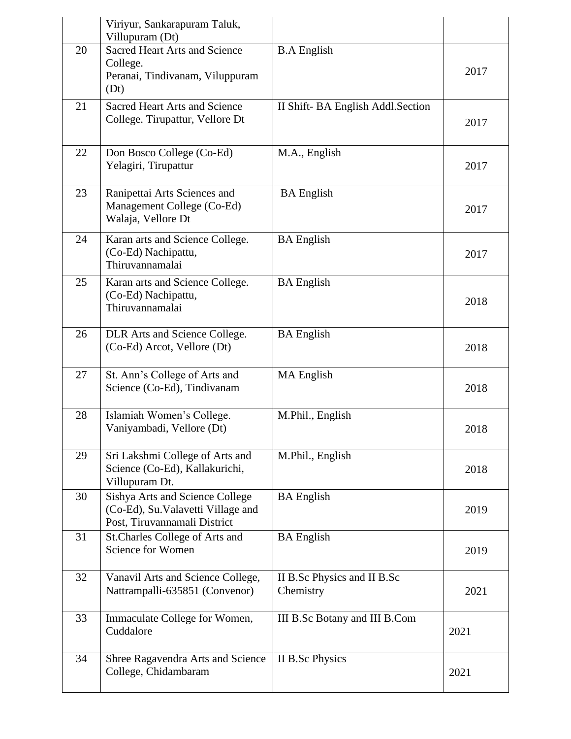|    | Viriyur, Sankarapuram Taluk,<br>Villupuram (Dt)                                                      |                                          |      |
|----|------------------------------------------------------------------------------------------------------|------------------------------------------|------|
| 20 | <b>Sacred Heart Arts and Science</b><br>College.<br>Peranai, Tindivanam, Viluppuram<br>(Dt)          | <b>B.A</b> English                       | 2017 |
| 21 | <b>Sacred Heart Arts and Science</b><br>College. Tirupattur, Vellore Dt                              | II Shift-BA English Addl. Section        | 2017 |
| 22 | Don Bosco College (Co-Ed)<br>Yelagiri, Tirupattur                                                    | M.A., English                            | 2017 |
| 23 | Ranipettai Arts Sciences and<br>Management College (Co-Ed)<br>Walaja, Vellore Dt                     | <b>BA</b> English                        | 2017 |
| 24 | Karan arts and Science College.<br>(Co-Ed) Nachipattu,<br>Thiruvannamalai                            | <b>BA</b> English                        | 2017 |
| 25 | Karan arts and Science College.<br>(Co-Ed) Nachipattu,<br>Thiruvannamalai                            | <b>BA</b> English                        | 2018 |
| 26 | DLR Arts and Science College.<br>(Co-Ed) Arcot, Vellore (Dt)                                         | <b>BA</b> English                        | 2018 |
| 27 | St. Ann's College of Arts and<br>Science (Co-Ed), Tindivanam                                         | <b>MA</b> English                        | 2018 |
| 28 | Islamiah Women's College.<br>Vaniyambadi, Vellore (Dt)                                               | M.Phil., English                         | 2018 |
| 29 | Sri Lakshmi College of Arts and<br>Science (Co-Ed), Kallakurichi,<br>Villupuram Dt.                  | M.Phil., English                         | 2018 |
| 30 | Sishya Arts and Science College<br>(Co-Ed), Su.Valavetti Village and<br>Post, Tiruvannamali District | <b>BA</b> English                        | 2019 |
| 31 | St.Charles College of Arts and<br>Science for Women                                                  | <b>BA</b> English                        | 2019 |
| 32 | Vanavil Arts and Science College,<br>Nattrampalli-635851 (Convenor)                                  | II B.Sc Physics and II B.Sc<br>Chemistry | 2021 |
| 33 | Immaculate College for Women,<br>Cuddalore                                                           | III B.Sc Botany and III B.Com            | 2021 |
| 34 | Shree Ragavendra Arts and Science<br>College, Chidambaram                                            | II B.Sc Physics                          | 2021 |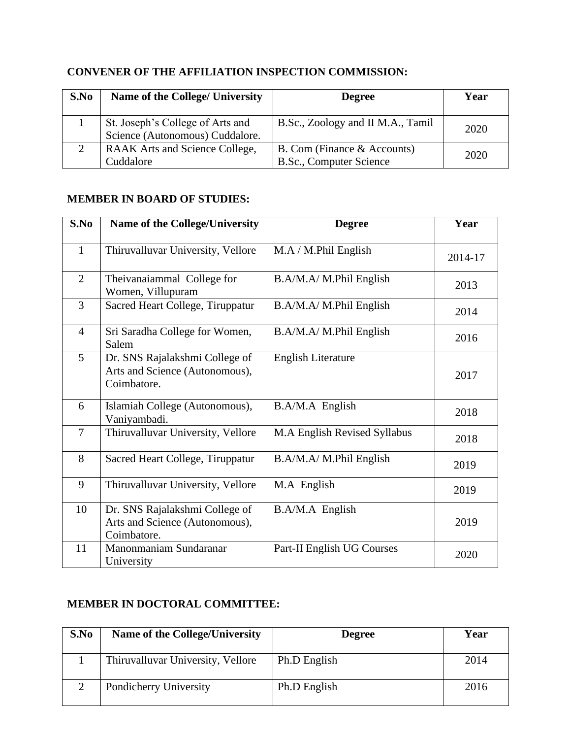## **CONVENER OF THE AFFILIATION INSPECTION COMMISSION:**

| S.No     | Name of the College/ University                                     | <b>Degree</b>                                                 | Year |
|----------|---------------------------------------------------------------------|---------------------------------------------------------------|------|
|          | St. Joseph's College of Arts and<br>Science (Autonomous) Cuddalore. | B.Sc., Zoology and II M.A., Tamil                             | 2020 |
| $\gamma$ | <b>RAAK</b> Arts and Science College,<br>Cuddalore                  | B. Com (Finance & Accounts)<br><b>B.Sc., Computer Science</b> | 2020 |

#### **MEMBER IN BOARD OF STUDIES:**

| S.No           | Name of the College/University                                                  | <b>Degree</b>                | Year    |
|----------------|---------------------------------------------------------------------------------|------------------------------|---------|
| $\mathbf{1}$   | Thiruvalluvar University, Vellore                                               | M.A / M.Phil English         | 2014-17 |
| $\overline{2}$ | Theivanaiammal College for<br>Women, Villupuram                                 | B.A/M.A/ M.Phil English      | 2013    |
| $\overline{3}$ | Sacred Heart College, Tiruppatur                                                | B.A/M.A/ M.Phil English      | 2014    |
| $\overline{4}$ | Sri Saradha College for Women,<br>Salem                                         | B.A/M.A/ M.Phil English      | 2016    |
| 5              | Dr. SNS Rajalakshmi College of<br>Arts and Science (Autonomous),<br>Coimbatore. | <b>English Literature</b>    | 2017    |
| 6              | Islamiah College (Autonomous),<br>Vaniyambadi.                                  | B.A/M.A English              | 2018    |
| $\overline{7}$ | Thiruvalluvar University, Vellore                                               | M.A English Revised Syllabus | 2018    |
| 8              | Sacred Heart College, Tiruppatur                                                | B.A/M.A/ M.Phil English      | 2019    |
| 9              | Thiruvalluvar University, Vellore                                               | M.A English                  | 2019    |
| 10             | Dr. SNS Rajalakshmi College of<br>Arts and Science (Autonomous),<br>Coimbatore. | B.A/M.A English              | 2019    |
| 11             | Manonmaniam Sundaranar<br>University                                            | Part-II English UG Courses   | 2020    |

## **MEMBER IN DOCTORAL COMMITTEE:**

| S.No | <b>Name of the College/University</b> | <b>Degree</b> | Year |
|------|---------------------------------------|---------------|------|
|      | Thiruvalluvar University, Vellore     | Ph.D English  | 2014 |
| ◠    | Pondicherry University                | Ph.D English  | 2016 |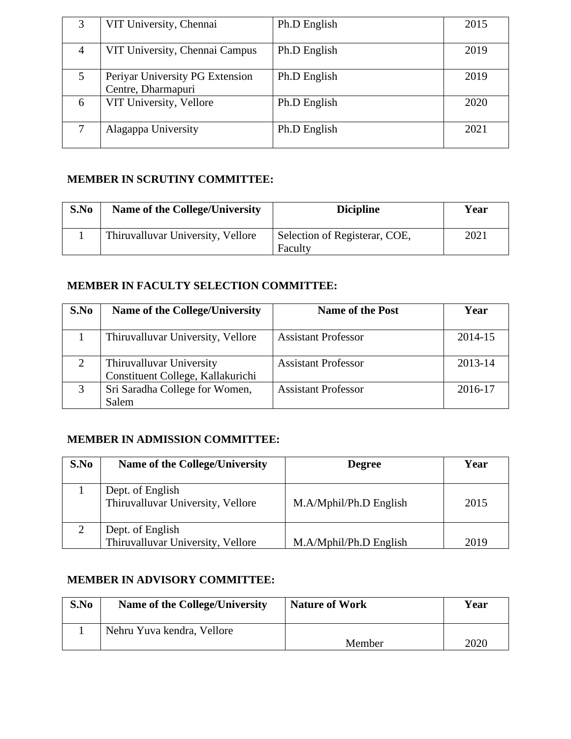| 3 | VIT University, Chennai                               | Ph.D English | 2015 |
|---|-------------------------------------------------------|--------------|------|
| 4 | VIT University, Chennai Campus                        | Ph.D English | 2019 |
| 5 | Periyar University PG Extension<br>Centre, Dharmapuri | Ph.D English | 2019 |
| 6 | VIT University, Vellore                               | Ph.D English | 2020 |
|   | Alagappa University                                   | Ph.D English | 2021 |

## **MEMBER IN SCRUTINY COMMITTEE:**

| S.No | <b>Name of the College/University</b> | <b>Dicipline</b>                         | Year |
|------|---------------------------------------|------------------------------------------|------|
|      | Thiruvalluvar University, Vellore     | Selection of Registerar, COE,<br>Faculty | 2021 |

## **MEMBER IN FACULTY SELECTION COMMITTEE:**

| S.No           | <b>Name of the College/University</b> | <b>Name of the Post</b>    | Year    |
|----------------|---------------------------------------|----------------------------|---------|
|                |                                       |                            |         |
|                | Thiruvalluvar University, Vellore     | <b>Assistant Professor</b> | 2014-15 |
|                |                                       |                            |         |
| $\overline{2}$ | Thiruvalluvar University              | <b>Assistant Professor</b> | 2013-14 |
|                | Constituent College, Kallakurichi     |                            |         |
| 3              | Sri Saradha College for Women,        | <b>Assistant Professor</b> | 2016-17 |
|                | Salem                                 |                            |         |

# **MEMBER IN ADMISSION COMMITTEE:**

| S.No | Name of the College/University                        | <b>Degree</b>          | Year |
|------|-------------------------------------------------------|------------------------|------|
|      |                                                       |                        |      |
|      | Dept. of English<br>Thiruvalluvar University, Vellore | M.A/Mphil/Ph.D English | 2015 |
|      | Dept. of English<br>Thiruvalluvar University, Vellore | M.A/Mphil/Ph.D English | 2019 |

#### **MEMBER IN ADVISORY COMMITTEE:**

| S.No | Name of the College/University | <b>Nature of Work</b> | Year |
|------|--------------------------------|-----------------------|------|
|      | Nehru Yuva kendra, Vellore     | Member                | 2020 |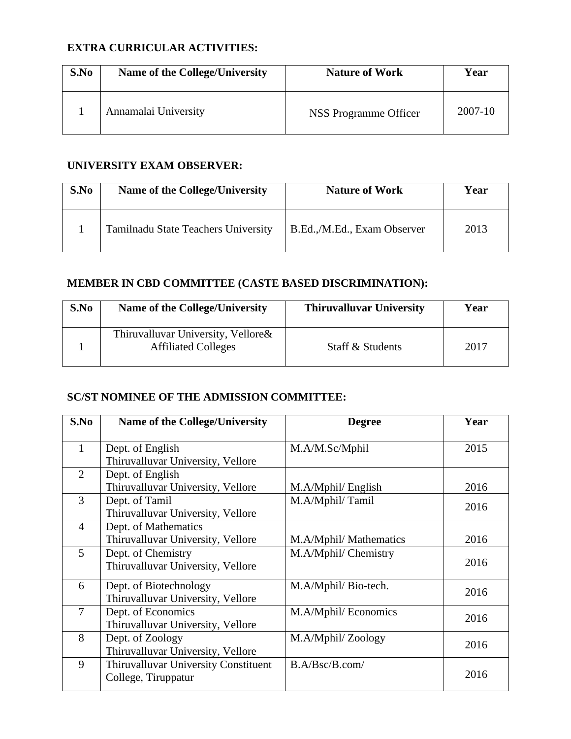## **EXTRA CURRICULAR ACTIVITIES:**

| S.No | <b>Name of the College/University</b> | <b>Nature of Work</b> | Year    |
|------|---------------------------------------|-----------------------|---------|
|      | Annamalai University                  | NSS Programme Officer | 2007-10 |

## **UNIVERSITY EXAM OBSERVER:**

| S.No | Name of the College/University      | <b>Nature of Work</b>       | Year |
|------|-------------------------------------|-----------------------------|------|
|      | Tamilnadu State Teachers University | B.Ed.,/M.Ed., Exam Observer | 2013 |

## **MEMBER IN CBD COMMITTEE (CASTE BASED DISCRIMINATION):**

| S.No | <b>Name of the College/University</b>                            | <b>Thiruvalluvar University</b> | Year |
|------|------------------------------------------------------------------|---------------------------------|------|
|      | Thiruvalluvar University, Vellore&<br><b>Affiliated Colleges</b> | <b>Staff &amp; Students</b>     | 2017 |

## **SC/ST NOMINEE OF THE ADMISSION COMMITTEE:**

| S.No           | <b>Name of the College/University</b>                       | <b>Degree</b>          | Year |
|----------------|-------------------------------------------------------------|------------------------|------|
| 1              | Dept. of English<br>Thiruvalluvar University, Vellore       | M.A/M.Sc/Mphil         | 2015 |
| $\overline{2}$ | Dept. of English<br>Thiruvalluvar University, Vellore       | M.A/Mphil/ English     | 2016 |
| 3              | Dept. of Tamil<br>Thiruvalluvar University, Vellore         | M.A/Mphil/Tamil        | 2016 |
| $\overline{4}$ | Dept. of Mathematics<br>Thiruvalluvar University, Vellore   | M.A/Mphil/ Mathematics | 2016 |
| 5              | Dept. of Chemistry<br>Thiruvalluvar University, Vellore     | M.A/Mphil/ Chemistry   | 2016 |
| 6              | Dept. of Biotechnology<br>Thiruvalluvar University, Vellore | M.A/Mphil/ Bio-tech.   | 2016 |
| $\overline{7}$ | Dept. of Economics<br>Thiruvalluvar University, Vellore     | M.A/Mphil/ Economics   | 2016 |
| 8              | Dept. of Zoology<br>Thiruvalluvar University, Vellore       | M.A/Mphil/Zoology      | 2016 |
| 9              | Thiruvalluvar University Constituent<br>College, Tiruppatur | B.A/Bsc/B.com/         | 2016 |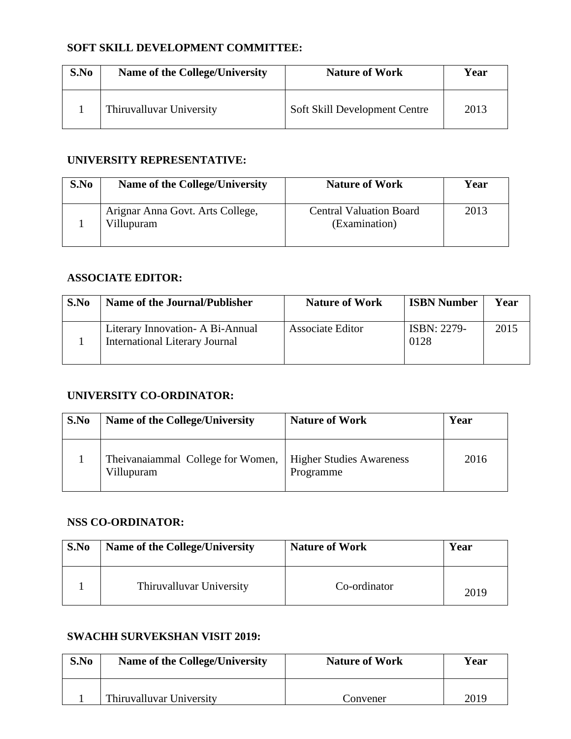## **SOFT SKILL DEVELOPMENT COMMITTEE:**

| S.No | Name of the College/University | <b>Nature of Work</b>         | Year |
|------|--------------------------------|-------------------------------|------|
|      | Thiruvalluvar University       | Soft Skill Development Centre | 2013 |

#### **UNIVERSITY REPRESENTATIVE:**

| S.No | Name of the College/University                 | <b>Nature of Work</b>                           | Year |
|------|------------------------------------------------|-------------------------------------------------|------|
|      | Arignar Anna Govt. Arts College,<br>Villupuram | <b>Central Valuation Board</b><br>(Examination) | 2013 |

#### **ASSOCIATE EDITOR:**

| S.No | Name of the Journal/Publisher                                              | <b>Nature of Work</b> | <b>ISBN Number</b>  | Year |
|------|----------------------------------------------------------------------------|-----------------------|---------------------|------|
|      | Literary Innovation - A Bi-Annual<br><b>International Literary Journal</b> | Associate Editor      | ISBN: 2279-<br>0128 | 2015 |

#### **UNIVERSITY CO-ORDINATOR:**

| S.No | Name of the College/University                  | <b>Nature of Work</b>                        | Year |
|------|-------------------------------------------------|----------------------------------------------|------|
|      | Theivanaiammal College for Women,<br>Villupuram | <b>Higher Studies Awareness</b><br>Programme | 2016 |

## **NSS CO-ORDINATOR:**

| S.No | <b>Name of the College/University</b> | <b>Nature of Work</b> | Year |
|------|---------------------------------------|-----------------------|------|
|      | Thiruvalluvar University              | Co-ordinator          | 2019 |

#### **SWACHH SURVEKSHAN VISIT 2019:**

| S.No | <b>Name of the College/University</b> | <b>Nature of Work</b> | Year |
|------|---------------------------------------|-----------------------|------|
|      | Thiruvalluvar University              | Convener              | 2019 |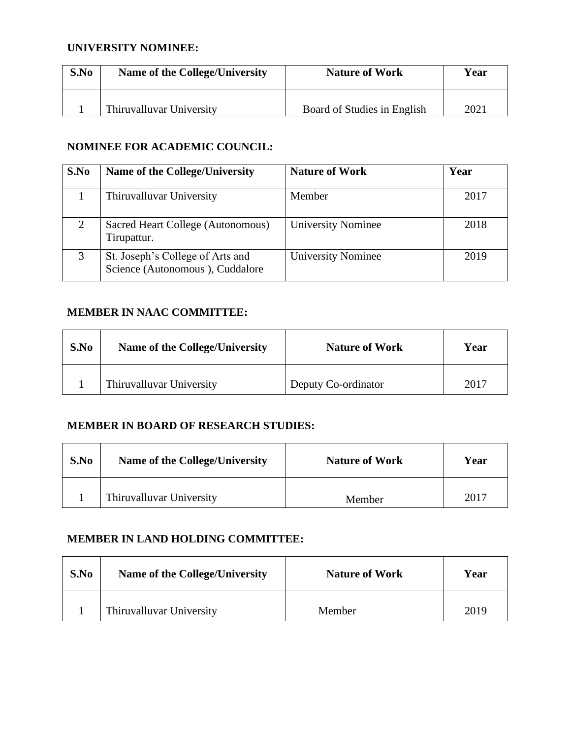#### **UNIVERSITY NOMINEE:**

| S.No | Name of the College/University | <b>Nature of Work</b>       | Year |
|------|--------------------------------|-----------------------------|------|
|      | Thiruvalluvar University       | Board of Studies in English | 2021 |

#### **NOMINEE FOR ACADEMIC COUNCIL:**

| S.No | Name of the College/University                                      | <b>Nature of Work</b>     | Year |
|------|---------------------------------------------------------------------|---------------------------|------|
|      | Thiruvalluvar University                                            | Member                    | 2017 |
| 2    | Sacred Heart College (Autonomous)<br>Tirupattur.                    | <b>University Nominee</b> | 2018 |
| 3    | St. Joseph's College of Arts and<br>Science (Autonomous), Cuddalore | <b>University Nominee</b> | 2019 |

## **MEMBER IN NAAC COMMITTEE:**

| S.No | <b>Name of the College/University</b> | <b>Nature of Work</b> | Year |
|------|---------------------------------------|-----------------------|------|
|      | Thiruvalluvar University              | Deputy Co-ordinator   | 2017 |

#### **MEMBER IN BOARD OF RESEARCH STUDIES:**

| S.No | <b>Name of the College/University</b> | <b>Nature of Work</b> | Year |
|------|---------------------------------------|-----------------------|------|
|      | Thiruvalluvar University              | Member                | 2017 |

#### **MEMBER IN LAND HOLDING COMMITTEE:**

| S.No | <b>Name of the College/University</b> | <b>Nature of Work</b> | Year |
|------|---------------------------------------|-----------------------|------|
|      | Thiruvalluvar University              | Member                | 2019 |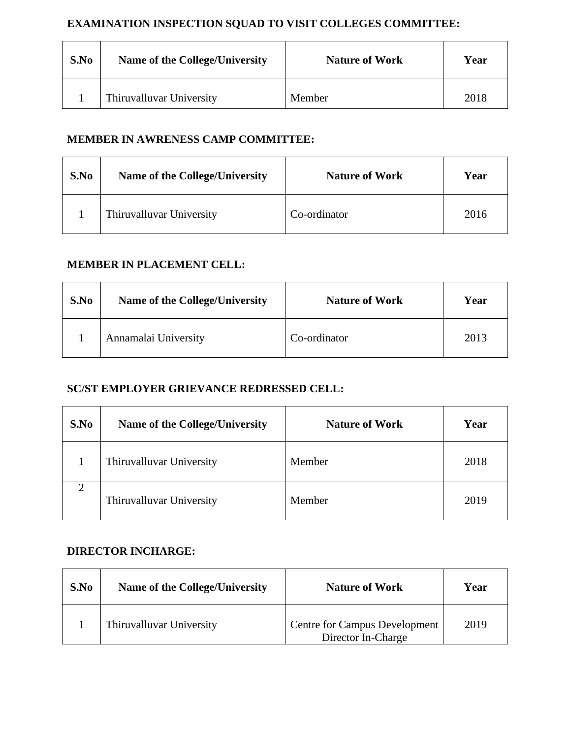## **EXAMINATION INSPECTION SQUAD TO VISIT COLLEGES COMMITTEE:**

| S.No | <b>Name of the College/University</b> | <b>Nature of Work</b> | Year |
|------|---------------------------------------|-----------------------|------|
|      | Thiruvalluvar University              | Member                | 2018 |

#### **MEMBER IN AWRENESS CAMP COMMITTEE:**

| S.No | <b>Name of the College/University</b> | <b>Nature of Work</b> | Year |
|------|---------------------------------------|-----------------------|------|
|      | Thiruvalluvar University              | Co-ordinator          | 2016 |

#### **MEMBER IN PLACEMENT CELL:**

| S.No | Name of the College/University | <b>Nature of Work</b> | Year |
|------|--------------------------------|-----------------------|------|
|      | Annamalai University           | Co-ordinator          | 2013 |

#### **SC/ST EMPLOYER GRIEVANCE REDRESSED CELL:**

| S.No | <b>Name of the College/University</b> | <b>Nature of Work</b> | Year |
|------|---------------------------------------|-----------------------|------|
|      | Thiruvalluvar University              | Member                | 2018 |
| 2    | Thiruvalluvar University              | Member                | 2019 |

#### **DIRECTOR INCHARGE:**

| S.No | <b>Name of the College/University</b> | <b>Nature of Work</b>                                      | Year |
|------|---------------------------------------|------------------------------------------------------------|------|
|      | Thiruvalluvar University              | <b>Centre for Campus Development</b><br>Director In-Charge | 2019 |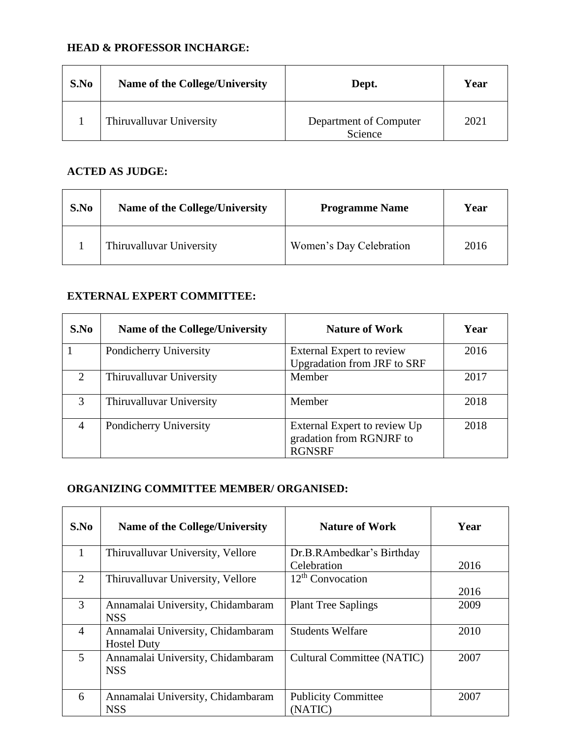## **HEAD & PROFESSOR INCHARGE:**

| S.No | <b>Name of the College/University</b> | Dept.                             | Year |
|------|---------------------------------------|-----------------------------------|------|
|      | Thiruvalluvar University              | Department of Computer<br>Science | 2021 |

#### **ACTED AS JUDGE:**

| S.No | Name of the College/University | <b>Programme Name</b>   | Year |
|------|--------------------------------|-------------------------|------|
|      | Thiruvalluvar University       | Women's Day Celebration | 2016 |

#### **EXTERNAL EXPERT COMMITTEE:**

| S.No                        | <b>Name of the College/University</b> | <b>Nature of Work</b>                                                     | Year |
|-----------------------------|---------------------------------------|---------------------------------------------------------------------------|------|
|                             | Pondicherry University                | External Expert to review<br><b>Upgradation from JRF to SRF</b>           | 2016 |
| $\mathcal{D}_{\mathcal{L}}$ | Thiruvalluvar University              | Member                                                                    | 2017 |
| 3                           | Thiruvalluvar University              | Member                                                                    | 2018 |
| 4                           | Pondicherry University                | External Expert to review Up<br>gradation from RGNJRF to<br><b>RGNSRF</b> | 2018 |

#### **ORGANIZING COMMITTEE MEMBER/ ORGANISED:**

| S.No           | Name of the College/University                          | <b>Nature of Work</b>                 | Year |
|----------------|---------------------------------------------------------|---------------------------------------|------|
| 1              | Thiruvalluvar University, Vellore                       | Dr.B.RAmbedkar's Birthday             |      |
|                |                                                         | Celebration                           | 2016 |
| $\overline{2}$ | Thiruvalluvar University, Vellore                       | $12th$ Convocation                    |      |
|                |                                                         |                                       | 2016 |
| 3              | Annamalai University, Chidambaram<br><b>NSS</b>         | <b>Plant Tree Saplings</b>            | 2009 |
| $\overline{4}$ | Annamalai University, Chidambaram<br><b>Hostel Duty</b> | <b>Students Welfare</b>               | 2010 |
| 5              | Annamalai University, Chidambaram<br><b>NSS</b>         | Cultural Committee (NATIC)            | 2007 |
| 6              | Annamalai University, Chidambaram<br><b>NSS</b>         | <b>Publicity Committee</b><br>(NATIC) | 2007 |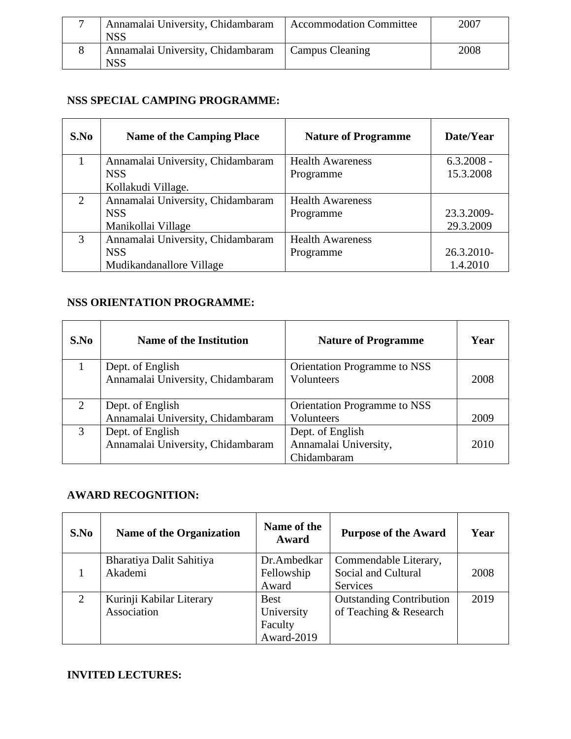| Annamalai University, Chidambaram<br><b>NSS</b> | <b>Accommodation Committee</b> | 2007 |
|-------------------------------------------------|--------------------------------|------|
| Annamalai University, Chidambaram<br><b>NSS</b> | Campus Cleaning                | 2008 |

## **NSS SPECIAL CAMPING PROGRAMME:**

| S.No | <b>Name of the Camping Place</b>  | <b>Nature of Programme</b> | Date/Year    |
|------|-----------------------------------|----------------------------|--------------|
|      | Annamalai University, Chidambaram | <b>Health Awareness</b>    | $6.3.2008 -$ |
|      | <b>NSS</b>                        | Programme                  | 15.3.2008    |
|      | Kollakudi Village.                |                            |              |
| 2    | Annamalai University, Chidambaram | <b>Health Awareness</b>    |              |
|      | <b>NSS</b>                        | Programme                  | 23.3.2009-   |
|      | Manikollai Village                |                            | 29.3.2009    |
| 3    | Annamalai University, Chidambaram | <b>Health Awareness</b>    |              |
|      | <b>NSS</b>                        | Programme                  | 26.3.2010-   |
|      | Mudikandanallore Village          |                            | 1.4.2010     |

## **NSS ORIENTATION PROGRAMME:**

| S.No | <b>Name of the Institution</b>    | <b>Nature of Programme</b>   | Year |
|------|-----------------------------------|------------------------------|------|
|      | Dept. of English                  | Orientation Programme to NSS |      |
|      | Annamalai University, Chidambaram | Volunteers                   | 2008 |
|      |                                   |                              |      |
| 2    | Dept. of English                  | Orientation Programme to NSS |      |
|      | Annamalai University, Chidambaram | Volunteers                   | 2009 |
| 3    | Dept. of English                  | Dept. of English             |      |
|      | Annamalai University, Chidambaram | Annamalai University,        | 2010 |
|      |                                   | Chidambaram                  |      |

# **AWARD RECOGNITION:**

| S.No | <b>Name of the Organization</b>         | Name of the<br>Award                               | <b>Purpose of the Award</b>                               | Year |
|------|-----------------------------------------|----------------------------------------------------|-----------------------------------------------------------|------|
|      | Bharatiya Dalit Sahitiya<br>Akademi     | Dr.Ambedkar<br>Fellowship<br>Award                 | Commendable Literary,<br>Social and Cultural<br>Services  | 2008 |
| 2    | Kurinji Kabilar Literary<br>Association | <b>Best</b><br>University<br>Faculty<br>Award-2019 | <b>Outstanding Contribution</b><br>of Teaching & Research | 2019 |

# **INVITED LECTURES:**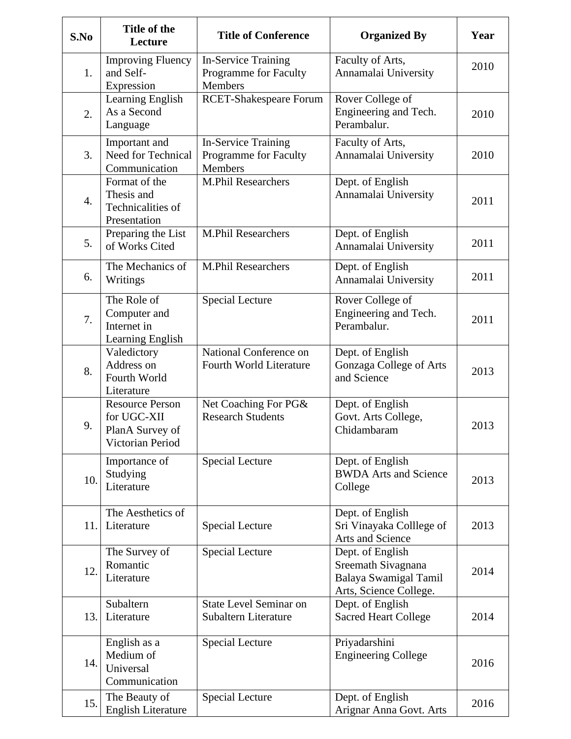| S.No             | Title of the<br>Lecture                                                      | <b>Title of Conference</b>                                            | <b>Organized By</b>                                                                       | Year |
|------------------|------------------------------------------------------------------------------|-----------------------------------------------------------------------|-------------------------------------------------------------------------------------------|------|
| 1.               | <b>Improving Fluency</b><br>and Self-<br>Expression                          | <b>In-Service Training</b><br>Programme for Faculty<br><b>Members</b> | Faculty of Arts,<br>Annamalai University                                                  | 2010 |
| 2.               | Learning English<br>As a Second<br>Language                                  | <b>RCET-Shakespeare Forum</b>                                         | Rover College of<br>Engineering and Tech.<br>Perambalur.                                  | 2010 |
| 3.               | Important and<br>Need for Technical<br>Communication                         | <b>In-Service Training</b><br>Programme for Faculty<br><b>Members</b> | Faculty of Arts,<br>Annamalai University                                                  | 2010 |
| $\overline{4}$ . | Format of the<br>Thesis and<br>Technicalities of<br>Presentation             | <b>M.Phil Researchers</b>                                             | Dept. of English<br>Annamalai University                                                  | 2011 |
| 5.               | Preparing the List<br>of Works Cited                                         | <b>M.Phil Researchers</b>                                             | Dept. of English<br>Annamalai University                                                  | 2011 |
| 6.               | The Mechanics of<br>Writings                                                 | M.Phil Researchers                                                    | Dept. of English<br>Annamalai University                                                  | 2011 |
| 7.               | The Role of<br>Computer and<br>Internet in<br>Learning English               | <b>Special Lecture</b>                                                | Rover College of<br>Engineering and Tech.<br>Perambalur.                                  | 2011 |
| 8.               | Valedictory<br>Address on<br>Fourth World<br>Literature                      | National Conference on<br>Fourth World Literature                     | Dept. of English<br>Gonzaga College of Arts<br>and Science                                | 2013 |
| 9.               | <b>Resource Person</b><br>for UGC-XII<br>PlanA Survey of<br>Victorian Period | Net Coaching For PG&<br><b>Research Students</b>                      | Dept. of English<br>Govt. Arts College,<br>Chidambaram                                    | 2013 |
| 10.              | Importance of<br>Studying<br>Literature                                      | <b>Special Lecture</b>                                                | Dept. of English<br><b>BWDA Arts and Science</b><br>College                               | 2013 |
| 11.              | The Aesthetics of<br>Literature                                              | <b>Special Lecture</b>                                                | Dept. of English<br>Sri Vinayaka Colllege of<br>Arts and Science                          | 2013 |
| 12.              | The Survey of<br>Romantic<br>Literature                                      | <b>Special Lecture</b>                                                | Dept. of English<br>Sreemath Sivagnana<br>Balaya Swamigal Tamil<br>Arts, Science College. | 2014 |
| 13.              | Subaltern<br>Literature                                                      | <b>State Level Seminar on</b><br><b>Subaltern Literature</b>          | Dept. of English<br><b>Sacred Heart College</b>                                           | 2014 |
| 14.              | English as a<br>Medium of<br>Universal<br>Communication                      | <b>Special Lecture</b>                                                | Priyadarshini<br><b>Engineering College</b>                                               | 2016 |
| 15.              | The Beauty of<br><b>English Literature</b>                                   | <b>Special Lecture</b>                                                | Dept. of English<br>Arignar Anna Govt. Arts                                               | 2016 |